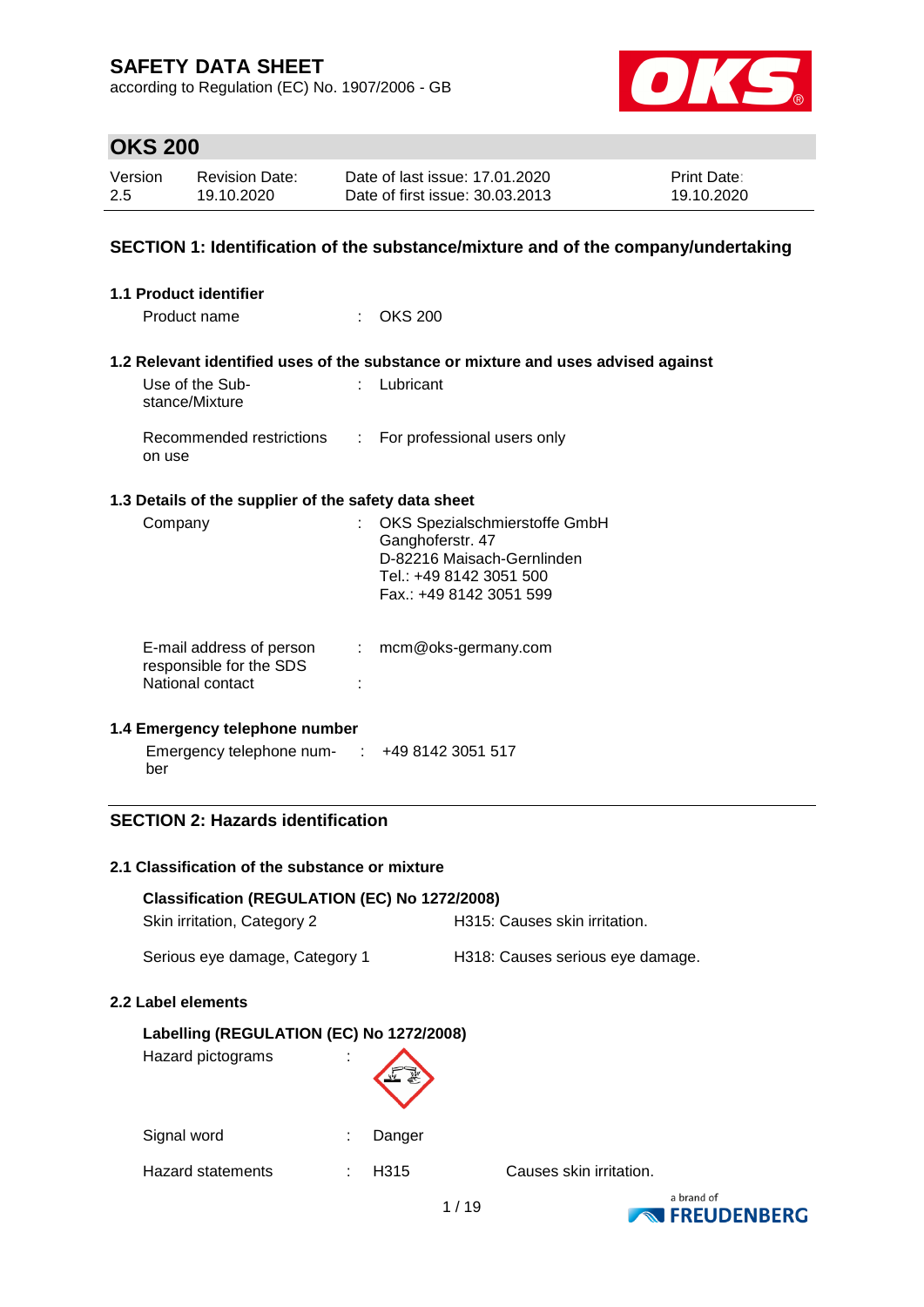according to Regulation (EC) No. 1907/2006 - GB



# **OKS 200**

| Version | <b>Revision Date:</b> | Date of last issue: 17,01,2020  | <b>Print Date:</b> |
|---------|-----------------------|---------------------------------|--------------------|
| 2.5     | 19.10.2020            | Date of first issue: 30.03.2013 | 19.10.2020         |

#### **SECTION 1: Identification of the substance/mixture and of the company/undertaking**

| 1.1 Product identifier                                                                           |    |                                                                                                                                       |
|--------------------------------------------------------------------------------------------------|----|---------------------------------------------------------------------------------------------------------------------------------------|
| Product name                                                                                     | ÷  | OKS 200                                                                                                                               |
|                                                                                                  |    | 1.2 Relevant identified uses of the substance or mixture and uses advised against                                                     |
| Use of the Sub-<br>stance/Mixture                                                                | t. | Lubricant                                                                                                                             |
| Recommended restrictions<br>on use                                                               | ÷  | For professional users only                                                                                                           |
| 1.3 Details of the supplier of the safety data sheet                                             |    |                                                                                                                                       |
| Company                                                                                          |    | OKS Spezialschmierstoffe GmbH<br>Ganghoferstr. 47<br>D-82216 Maisach-Gernlinden<br>Tel.: +49 8142 3051 500<br>Fax.: +49 8142 3051 599 |
| E-mail address of person<br>responsible for the SDS<br>National contact                          | ÷  | mcm@oks-germany.com                                                                                                                   |
| 1.4 Emergency telephone number<br>Emergency telephone num- $\therefore$ +49 8142 3051 517<br>ber |    |                                                                                                                                       |

### **SECTION 2: Hazards identification**

#### **2.1 Classification of the substance or mixture**

| Classification (REGULATION (EC) No 1272/2008)<br>Skin irritation, Category 2 |        | H315: Causes skin irritation.    |
|------------------------------------------------------------------------------|--------|----------------------------------|
| Serious eye damage, Category 1                                               |        | H318: Causes serious eye damage. |
| 2.2 Label elements                                                           |        |                                  |
| Labelling (REGULATION (EC) No 1272/2008)<br>Hazard pictograms                |        |                                  |
| Signal word                                                                  | Danger |                                  |

Hazard statements : H315 Causes skin irritation.

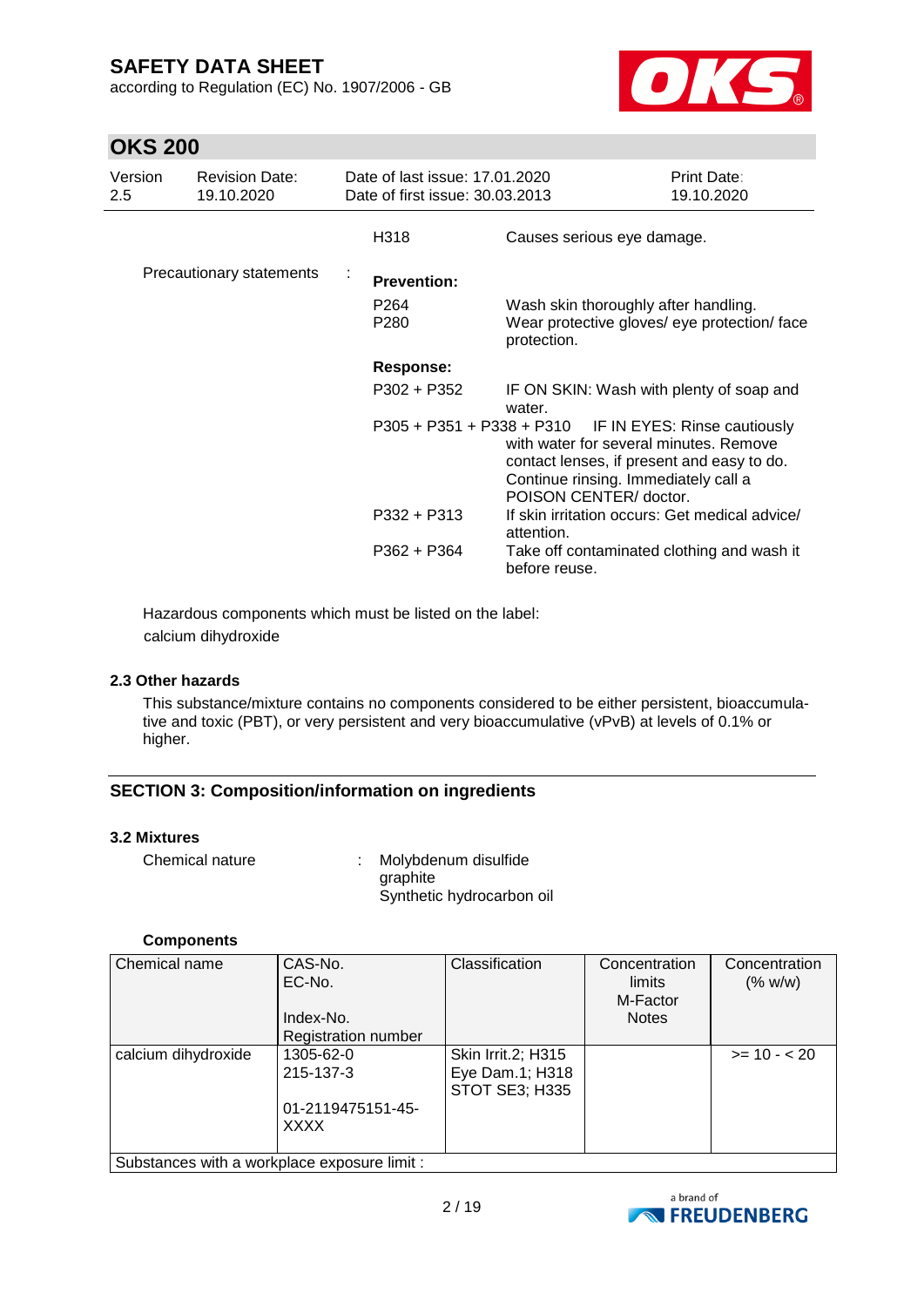according to Regulation (EC) No. 1907/2006 - GB



## **OKS 200**

| Version<br>2.5 | <b>Revision Date:</b><br>19.10.2020 | Date of last issue: 17.01.2020<br>Date of first issue: 30.03.2013 |                                                                                                                                                                                                                 | Print Date:<br>19.10.2020 |
|----------------|-------------------------------------|-------------------------------------------------------------------|-----------------------------------------------------------------------------------------------------------------------------------------------------------------------------------------------------------------|---------------------------|
|                |                                     | H318                                                              | Causes serious eye damage.                                                                                                                                                                                      |                           |
|                | Precautionary statements            | <b>Prevention:</b>                                                |                                                                                                                                                                                                                 |                           |
|                |                                     | P <sub>264</sub><br>P280                                          | Wash skin thoroughly after handling.<br>Wear protective gloves/ eye protection/ face<br>protection.                                                                                                             |                           |
|                |                                     | <b>Response:</b>                                                  |                                                                                                                                                                                                                 |                           |
|                |                                     | P302 + P352                                                       | IF ON SKIN: Wash with plenty of soap and<br>water.                                                                                                                                                              |                           |
|                |                                     |                                                                   | P305 + P351 + P338 + P310 IF IN EYES: Rinse cautiously<br>with water for several minutes. Remove<br>contact lenses, if present and easy to do.<br>Continue rinsing. Immediately call a<br>POISON CENTER/doctor. |                           |
|                |                                     | $P332 + P313$                                                     | If skin irritation occurs: Get medical advice/<br>attention.                                                                                                                                                    |                           |
|                |                                     | $P362 + P364$                                                     | Take off contaminated clothing and wash it<br>before reuse.                                                                                                                                                     |                           |

Hazardous components which must be listed on the label: calcium dihydroxide

#### **2.3 Other hazards**

This substance/mixture contains no components considered to be either persistent, bioaccumulative and toxic (PBT), or very persistent and very bioaccumulative (vPvB) at levels of 0.1% or higher.

### **SECTION 3: Composition/information on ingredients**

#### **3.2 Mixtures**

| Chemical nature | Molybdenum disulfide      |
|-----------------|---------------------------|
|                 | graphite                  |
|                 | Synthetic hydrocarbon oil |

#### **Components**

| <b>Chemical name</b>                         | CAS-No.<br>EC-No.   | Classification                           | Concentration<br>limits<br>M-Factor | Concentration<br>(% w/w) |
|----------------------------------------------|---------------------|------------------------------------------|-------------------------------------|--------------------------|
|                                              | Index-No.           |                                          | <b>Notes</b>                        |                          |
|                                              | Registration number |                                          |                                     |                          |
| calcium dihydroxide                          | 1305-62-0           | Skin Irrit.2; H315                       |                                     | $>= 10 - 20$             |
|                                              | 215-137-3           | Eye Dam.1; H318<br><b>STOT SE3; H335</b> |                                     |                          |
|                                              | 01-2119475151-45-   |                                          |                                     |                          |
|                                              | <b>XXXX</b>         |                                          |                                     |                          |
| Substances with a workplace exposure limit : |                     |                                          |                                     |                          |

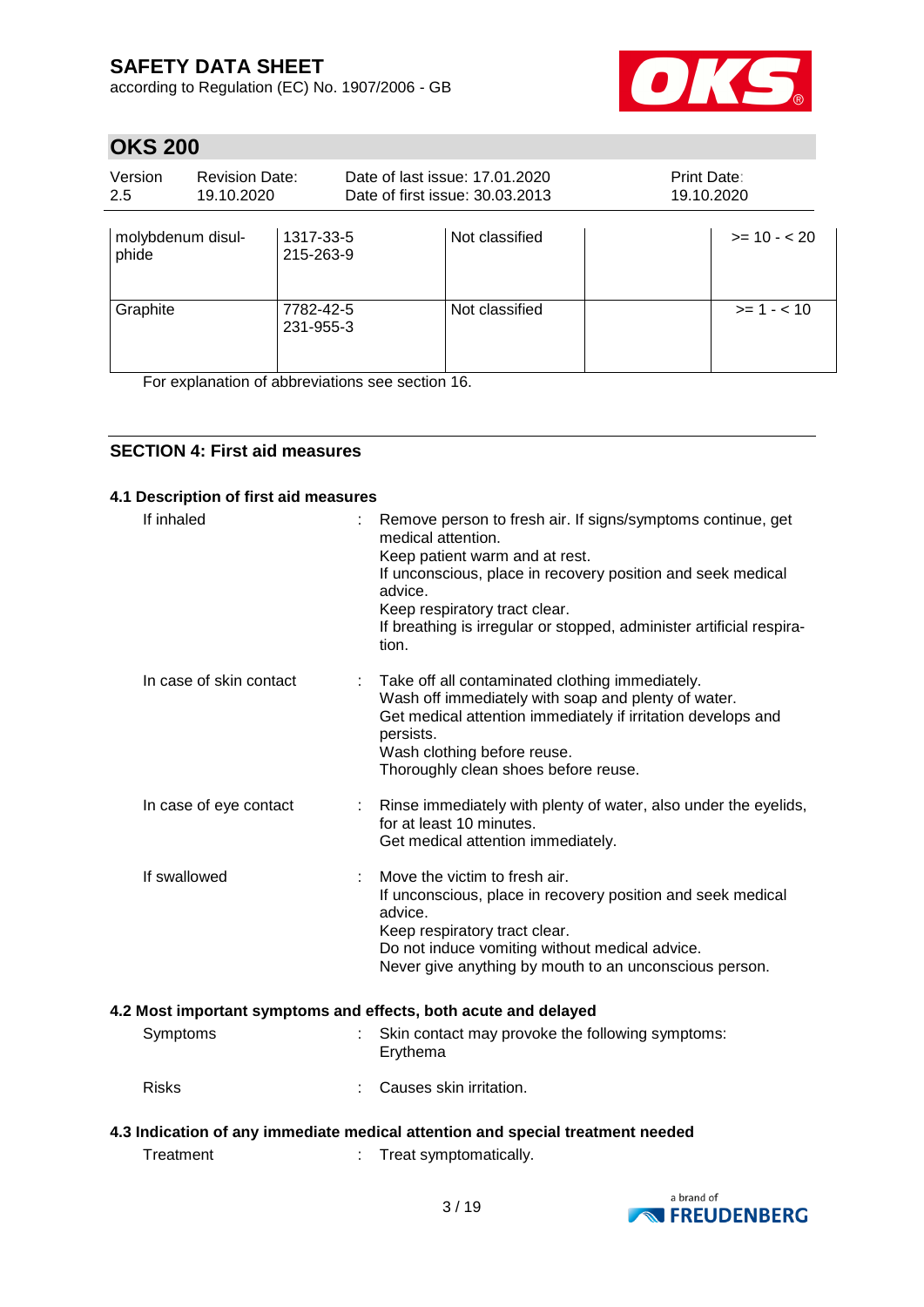according to Regulation (EC) No. 1907/2006 - GB



# **OKS 200**

| Version<br>2.5             | <b>Revision Date:</b><br>19.10.2020 |                        | Date of last issue: 17.01.2020<br>Date of first issue: 30.03.2013 | Print Date:<br>19.10.2020 |               |
|----------------------------|-------------------------------------|------------------------|-------------------------------------------------------------------|---------------------------|---------------|
| molybdenum disul-<br>phide |                                     | 1317-33-5<br>215-263-9 | Not classified                                                    |                           | $>= 10 - 20$  |
| Graphite                   |                                     | 7782-42-5<br>231-955-3 | Not classified                                                    |                           | $>= 1 - < 10$ |

For explanation of abbreviations see section 16.

### **SECTION 4: First aid measures**

#### **4.1 Description of first aid measures**

| If inhaled              |   | Remove person to fresh air. If signs/symptoms continue, get<br>medical attention.<br>Keep patient warm and at rest.<br>If unconscious, place in recovery position and seek medical<br>advice.<br>Keep respiratory tract clear.<br>If breathing is irregular or stopped, administer artificial respira-<br>tion. |
|-------------------------|---|-----------------------------------------------------------------------------------------------------------------------------------------------------------------------------------------------------------------------------------------------------------------------------------------------------------------|
| In case of skin contact |   | Take off all contaminated clothing immediately.<br>Wash off immediately with soap and plenty of water.<br>Get medical attention immediately if irritation develops and<br>persists.<br>Wash clothing before reuse.<br>Thoroughly clean shoes before reuse.                                                      |
| In case of eye contact  | ÷ | Rinse immediately with plenty of water, also under the eyelids,<br>for at least 10 minutes.<br>Get medical attention immediately.                                                                                                                                                                               |
| If swallowed            |   | Move the victim to fresh air.<br>If unconscious, place in recovery position and seek medical<br>advice.<br>Keep respiratory tract clear.<br>Do not induce vomiting without medical advice.<br>Never give anything by mouth to an unconscious person.                                                            |
|                         |   | 4.2 Most important symptoms and effects, both acute and delayed                                                                                                                                                                                                                                                 |
| Symptoms                |   | Skin contact may provoke the following symptoms:<br>Erythema                                                                                                                                                                                                                                                    |
| <b>Risks</b>            |   | Causes skin irritation.                                                                                                                                                                                                                                                                                         |
|                         |   | 4.3 Indication of any immediate medical attention and special treatment needed                                                                                                                                                                                                                                  |
| Treatment               |   | Treat symptomatically.                                                                                                                                                                                                                                                                                          |

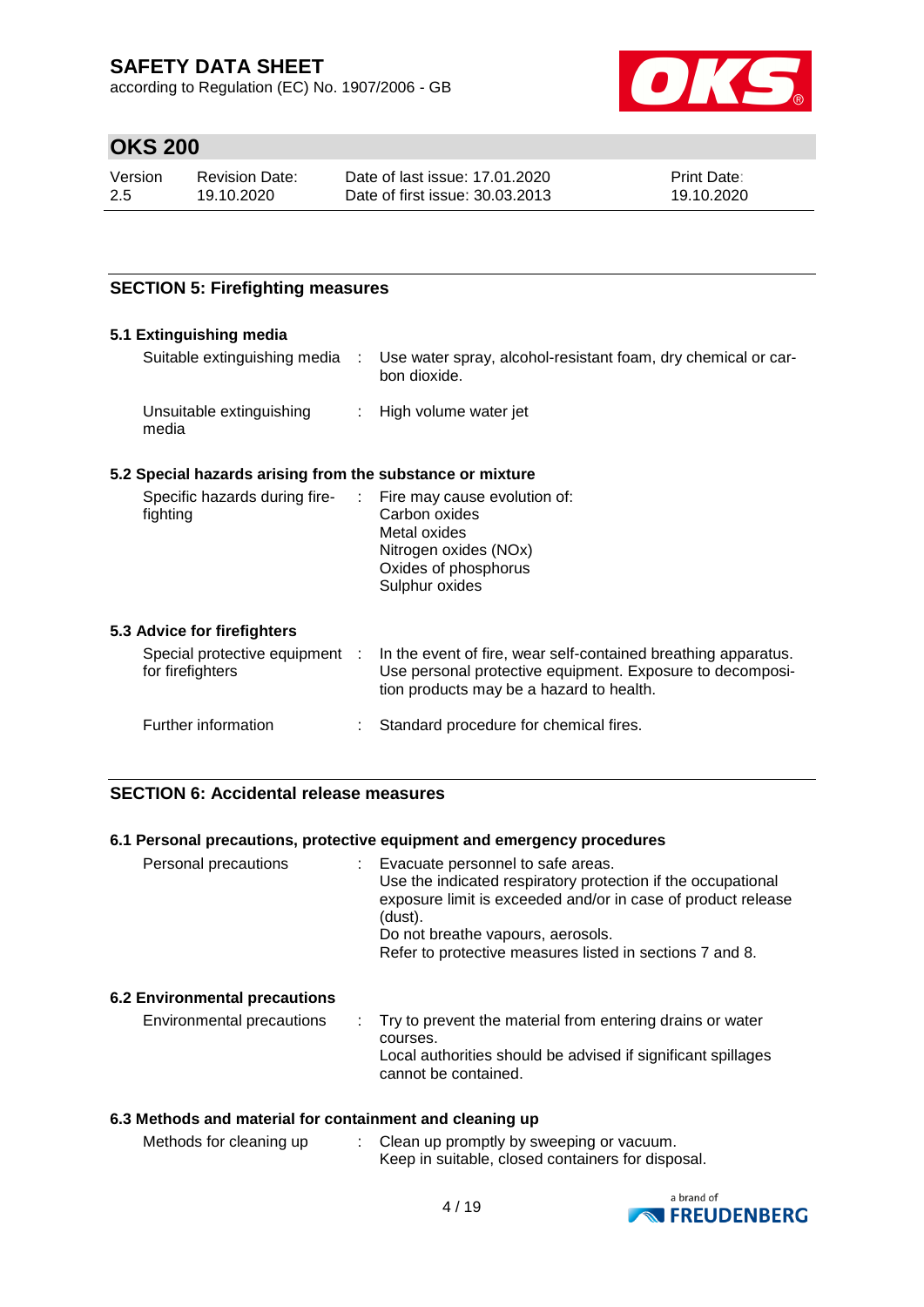according to Regulation (EC) No. 1907/2006 - GB



## **OKS 200**

| Version | <b>Revision Date:</b> | Date of last issue: 17.01.2020  | <b>Print Date:</b> |
|---------|-----------------------|---------------------------------|--------------------|
| -2.5    | 19.10.2020            | Date of first issue: 30.03.2013 | 19.10.2020         |

### **SECTION 5: Firefighting measures**

#### **5.1 Extinguishing media**

| Suitable extinguishing media      | - 11 | Use water spray, alcohol-resistant foam, dry chemical or car-<br>bon dioxide. |
|-----------------------------------|------|-------------------------------------------------------------------------------|
| Unsuitable extinguishing<br>media |      | : High volume water jet                                                       |

### **5.2 Special hazards arising from the substance or mixture**

| Specific hazards during fire- | : Fire may cause evolution of: |
|-------------------------------|--------------------------------|
| fighting                      | Carbon oxides                  |
|                               | Metal oxides                   |
|                               | Nitrogen oxides (NOx)          |
|                               | Oxides of phosphorus           |
|                               | Sulphur oxides                 |
|                               |                                |
|                               |                                |

#### **5.3 Advice for firefighters**

| Special protective equipment :<br>for firefighters | In the event of fire, wear self-contained breathing apparatus.<br>Use personal protective equipment. Exposure to decomposi-<br>tion products may be a hazard to health. |
|----------------------------------------------------|-------------------------------------------------------------------------------------------------------------------------------------------------------------------------|
| Further information                                | Standard procedure for chemical fires.                                                                                                                                  |

### **SECTION 6: Accidental release measures**

#### **6.1 Personal precautions, protective equipment and emergency procedures**

| Personal precautions | Evacuate personnel to safe areas.<br>Use the indicated respiratory protection if the occupational<br>exposure limit is exceeded and/or in case of product release<br>(dust).<br>Do not breathe vapours, aerosols.<br>Refer to protective measures listed in sections 7 and 8. |
|----------------------|-------------------------------------------------------------------------------------------------------------------------------------------------------------------------------------------------------------------------------------------------------------------------------|
|                      |                                                                                                                                                                                                                                                                               |

#### **6.2 Environmental precautions**

| Environmental precautions |  | . Try to prevent the material from entering drains or water<br>courses.<br>Local authorities should be advised if significant spillages<br>cannot be contained. |
|---------------------------|--|-----------------------------------------------------------------------------------------------------------------------------------------------------------------|
|---------------------------|--|-----------------------------------------------------------------------------------------------------------------------------------------------------------------|

### **6.3 Methods and material for containment and cleaning up**

| Methods for cleaning up | Clean up promptly by sweeping or vacuum.          |  |
|-------------------------|---------------------------------------------------|--|
|                         | Keep in suitable, closed containers for disposal. |  |

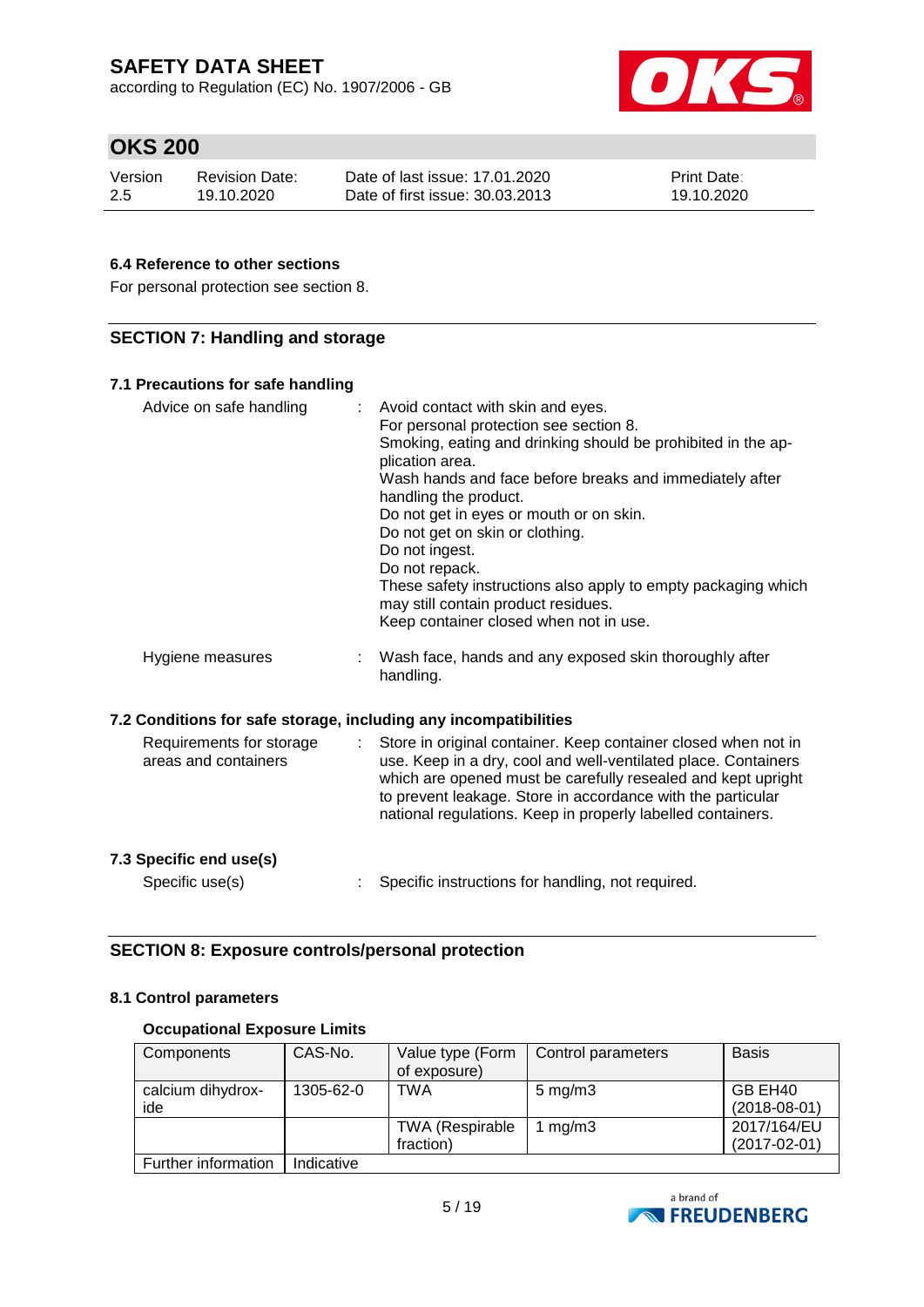according to Regulation (EC) No. 1907/2006 - GB



# **OKS 200**

| Version | <b>Revision Date:</b> | Date of last issue: 17.01.2020  | <b>Print Date:</b> |
|---------|-----------------------|---------------------------------|--------------------|
| 2.5     | 19.10.2020            | Date of first issue: 30.03.2013 | 19.10.2020         |

### **6.4 Reference to other sections**

For personal protection see section 8.

### **SECTION 7: Handling and storage**

| 7.1 Precautions for safe handling                                |                                                                                                                                                                                                                                                                                                                                                                                                                                                                                                                        |
|------------------------------------------------------------------|------------------------------------------------------------------------------------------------------------------------------------------------------------------------------------------------------------------------------------------------------------------------------------------------------------------------------------------------------------------------------------------------------------------------------------------------------------------------------------------------------------------------|
| Advice on safe handling                                          | Avoid contact with skin and eyes.<br>For personal protection see section 8.<br>Smoking, eating and drinking should be prohibited in the ap-<br>plication area.<br>Wash hands and face before breaks and immediately after<br>handling the product.<br>Do not get in eyes or mouth or on skin.<br>Do not get on skin or clothing.<br>Do not ingest.<br>Do not repack.<br>These safety instructions also apply to empty packaging which<br>may still contain product residues.<br>Keep container closed when not in use. |
| Hygiene measures                                                 | Wash face, hands and any exposed skin thoroughly after<br>handling.                                                                                                                                                                                                                                                                                                                                                                                                                                                    |
| 7.2 Conditions for safe storage, including any incompatibilities |                                                                                                                                                                                                                                                                                                                                                                                                                                                                                                                        |
| Requirements for storage<br>t.<br>areas and containers           | Store in original container. Keep container closed when not in<br>use. Keep in a dry, cool and well-ventilated place. Containers<br>which are opened must be carefully resealed and kept upright<br>to prevent leakage. Store in accordance with the particular<br>national regulations. Keep in properly labelled containers.                                                                                                                                                                                         |
| 7.3 Specific end use(s)                                          |                                                                                                                                                                                                                                                                                                                                                                                                                                                                                                                        |
| Specific use(s)                                                  | Specific instructions for handling, not required.                                                                                                                                                                                                                                                                                                                                                                                                                                                                      |

### **SECTION 8: Exposure controls/personal protection**

#### **8.1 Control parameters**

### **Occupational Exposure Limits**

| Components               | CAS-No.    | Value type (Form<br>of exposure)    | Control parameters | <b>Basis</b>                      |
|--------------------------|------------|-------------------------------------|--------------------|-----------------------------------|
| calcium dihydrox-<br>ide | 1305-62-0  | TWA                                 | $5 \text{ mg/m}$ 3 | GB EH40<br>$(2018-08-01)$         |
|                          |            | <b>TWA (Respirable</b><br>fraction) | mg/m3              | 2017/164/EU<br>$(2017 - 02 - 01)$ |
| Further information      | Indicative |                                     |                    |                                   |

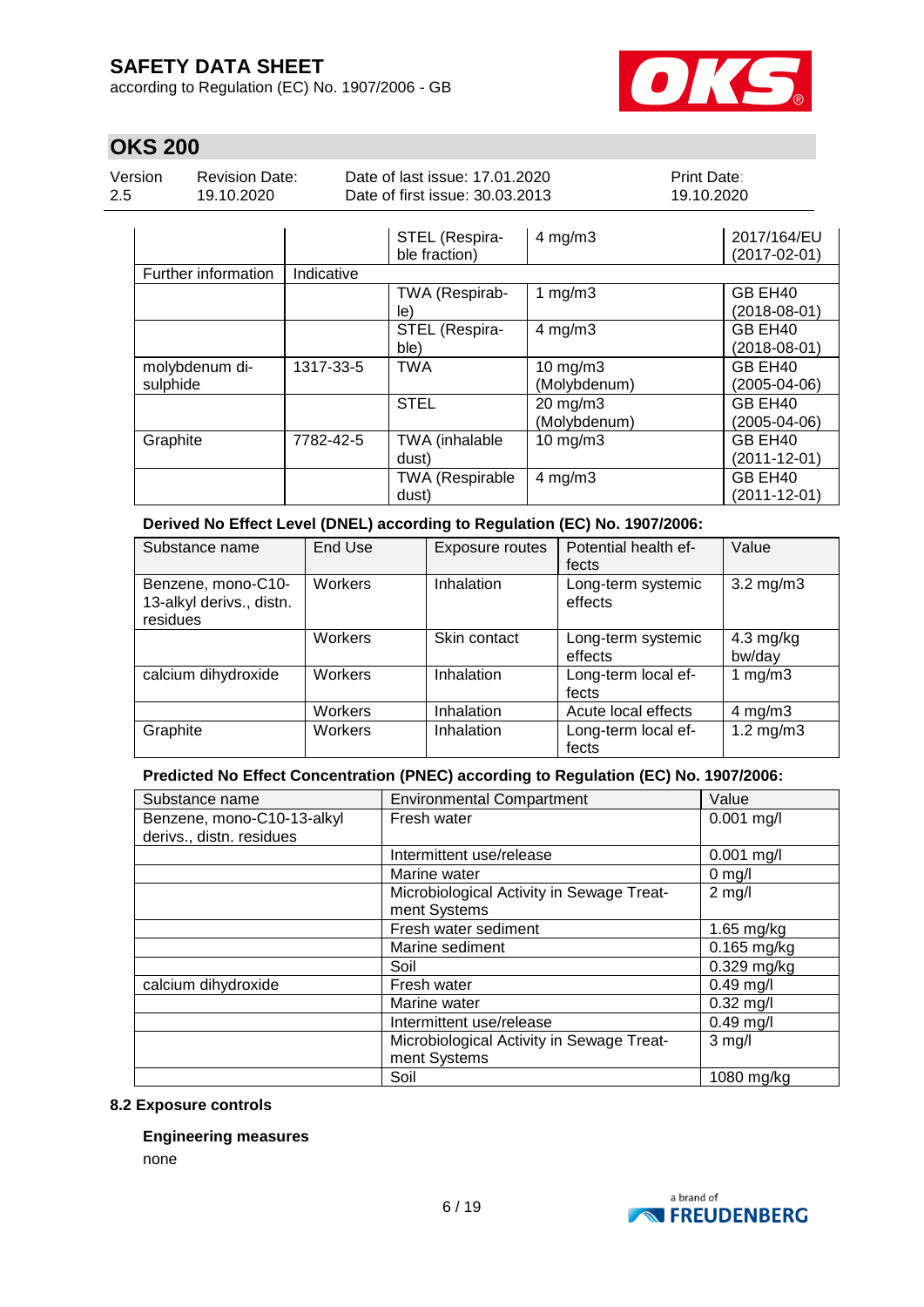according to Regulation (EC) No. 1907/2006 - GB



# **OKS 200**

| Version | <b>Revision Date:</b> | Date of last issue: 17.01.2020              | <b>Print Date:</b> |
|---------|-----------------------|---------------------------------------------|--------------------|
| 2.5     | 19.10.2020            | Date of first issue: 30.03.2013             | 19.10.2020         |
|         |                       | CTEL (Doopiro<br>$\Delta$ malm <sup>2</sup> | $2017/404/11$      |

|                     |            | SIEL (Respira-         | $4$ mg/m $3$  | 201//164/EU  |
|---------------------|------------|------------------------|---------------|--------------|
|                     |            | ble fraction)          |               | (2017-02-01) |
| Further information | Indicative |                        |               |              |
|                     |            | TWA (Respirab-         | 1 $mg/m3$     | GB EH40      |
|                     |            | le)                    |               | (2018-08-01) |
|                     |            | STEL (Respira-         | $4$ mg/m $3$  | GB EH40      |
|                     |            | ble)                   |               | (2018-08-01) |
| molybdenum di-      | 1317-33-5  | <b>TWA</b>             | $10$ mg/m $3$ | GB EH40      |
| sulphide            |            |                        | (Molybdenum)  | (2005-04-06) |
|                     |            | <b>STEL</b>            | 20 mg/m3      | GB EH40      |
|                     |            |                        | (Molybdenum)  | (2005-04-06) |
| Graphite            | 7782-42-5  | TWA (inhalable         | $10$ mg/m $3$ | GB EH40      |
|                     |            | dust)                  |               | (2011-12-01) |
|                     |            | <b>TWA (Respirable</b> | $4$ mg/m $3$  | GB EH40      |
|                     |            | dust)                  |               | (2011-12-01) |

#### **Derived No Effect Level (DNEL) according to Regulation (EC) No. 1907/2006:**

| Substance name                                             | End Use | Exposure routes | Potential health ef-<br>fects | Value                         |
|------------------------------------------------------------|---------|-----------------|-------------------------------|-------------------------------|
| Benzene, mono-C10-<br>13-alkyl derivs., distn.<br>residues | Workers | Inhalation      | Long-term systemic<br>effects | $3.2 \text{ mg/m}$            |
|                                                            | Workers | Skin contact    | Long-term systemic<br>effects | $4.3 \text{ mg/kg}$<br>bw/day |
| calcium dihydroxide                                        | Workers | Inhalation      | Long-term local ef-<br>fects  | 1 $mg/m3$                     |
|                                                            | Workers | Inhalation      | Acute local effects           | $4$ mg/m $3$                  |
| Graphite                                                   | Workers | Inhalation      | Long-term local ef-<br>fects  | $1.2 \text{ mg/m}$ 3          |

### **Predicted No Effect Concentration (PNEC) according to Regulation (EC) No. 1907/2006:**

| Substance name             | <b>Environmental Compartment</b>          | Value         |
|----------------------------|-------------------------------------------|---------------|
| Benzene, mono-C10-13-alkyl | Fresh water                               | $0.001$ mg/l  |
| derivs., distn. residues   |                                           |               |
|                            | Intermittent use/release                  | $0.001$ mg/l  |
|                            | Marine water                              | $0$ mg/l      |
|                            | Microbiological Activity in Sewage Treat- | $2$ mg/l      |
|                            | ment Systems                              |               |
|                            | Fresh water sediment                      | $1.65$ mg/kg  |
|                            | Marine sediment                           | 0.165 mg/kg   |
|                            | Soil                                      | $0.329$ mg/kg |
| calcium dihydroxide        | Fresh water                               | $0.49$ mg/l   |
|                            | Marine water                              | $0.32$ mg/l   |
|                            | Intermittent use/release                  | $0.49$ mg/l   |
|                            | Microbiological Activity in Sewage Treat- | $3$ mg/l      |
|                            | ment Systems                              |               |
|                            | Soil                                      | 1080 mg/kg    |

#### **8.2 Exposure controls**

#### **Engineering measures**

none

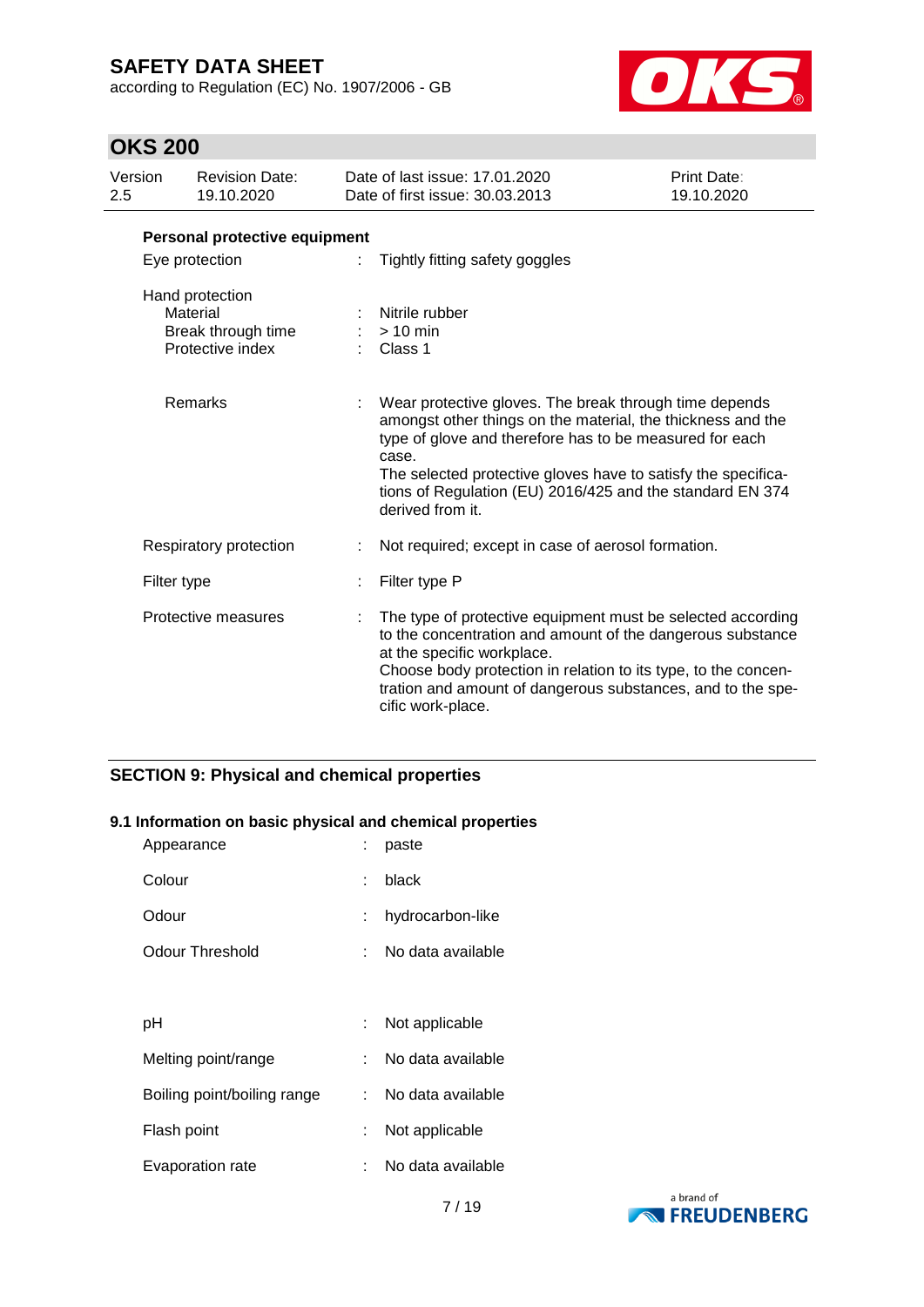according to Regulation (EC) No. 1907/2006 - GB



# **OKS 200**

| Version<br>2.5 |                | <b>Revision Date:</b><br>19.10.2020                                   | Date of last issue: 17.01.2020<br>Date of first issue: 30.03.2013                                                                                                                                                                                                                                                                           | <b>Print Date:</b><br>19.10.2020 |
|----------------|----------------|-----------------------------------------------------------------------|---------------------------------------------------------------------------------------------------------------------------------------------------------------------------------------------------------------------------------------------------------------------------------------------------------------------------------------------|----------------------------------|
|                |                | Personal protective equipment                                         |                                                                                                                                                                                                                                                                                                                                             |                                  |
|                | Eye protection |                                                                       | Tightly fitting safety goggles                                                                                                                                                                                                                                                                                                              |                                  |
|                |                | Hand protection<br>Material<br>Break through time<br>Protective index | Nitrile rubber<br>$> 10$ min<br>Class 1                                                                                                                                                                                                                                                                                                     |                                  |
|                |                | Remarks                                                               | Wear protective gloves. The break through time depends<br>amongst other things on the material, the thickness and the<br>type of glove and therefore has to be measured for each<br>case.<br>The selected protective gloves have to satisfy the specifica-<br>tions of Regulation (EU) 2016/425 and the standard EN 374<br>derived from it. |                                  |
|                |                | Respiratory protection                                                | Not required; except in case of aerosol formation.                                                                                                                                                                                                                                                                                          |                                  |
|                | Filter type    |                                                                       | Filter type P                                                                                                                                                                                                                                                                                                                               |                                  |
|                |                | Protective measures                                                   | The type of protective equipment must be selected according<br>to the concentration and amount of the dangerous substance<br>at the specific workplace.<br>Choose body protection in relation to its type, to the concen-<br>tration and amount of dangerous substances, and to the spe-<br>cific work-place.                               |                                  |

### **SECTION 9: Physical and chemical properties**

#### **9.1 Information on basic physical and chemical properties**

| Appearance                  |     | paste             |
|-----------------------------|-----|-------------------|
| Colour                      | ۰.  | black             |
| Odour                       |     | hydrocarbon-like  |
| Odour Threshold             |     | No data available |
|                             |     |                   |
| рH                          |     | Not applicable    |
| Melting point/range         |     | No data available |
| Boiling point/boiling range | × 1 | No data available |
| Flash point                 |     | Not applicable    |
| Evaporation rate            |     | No data available |

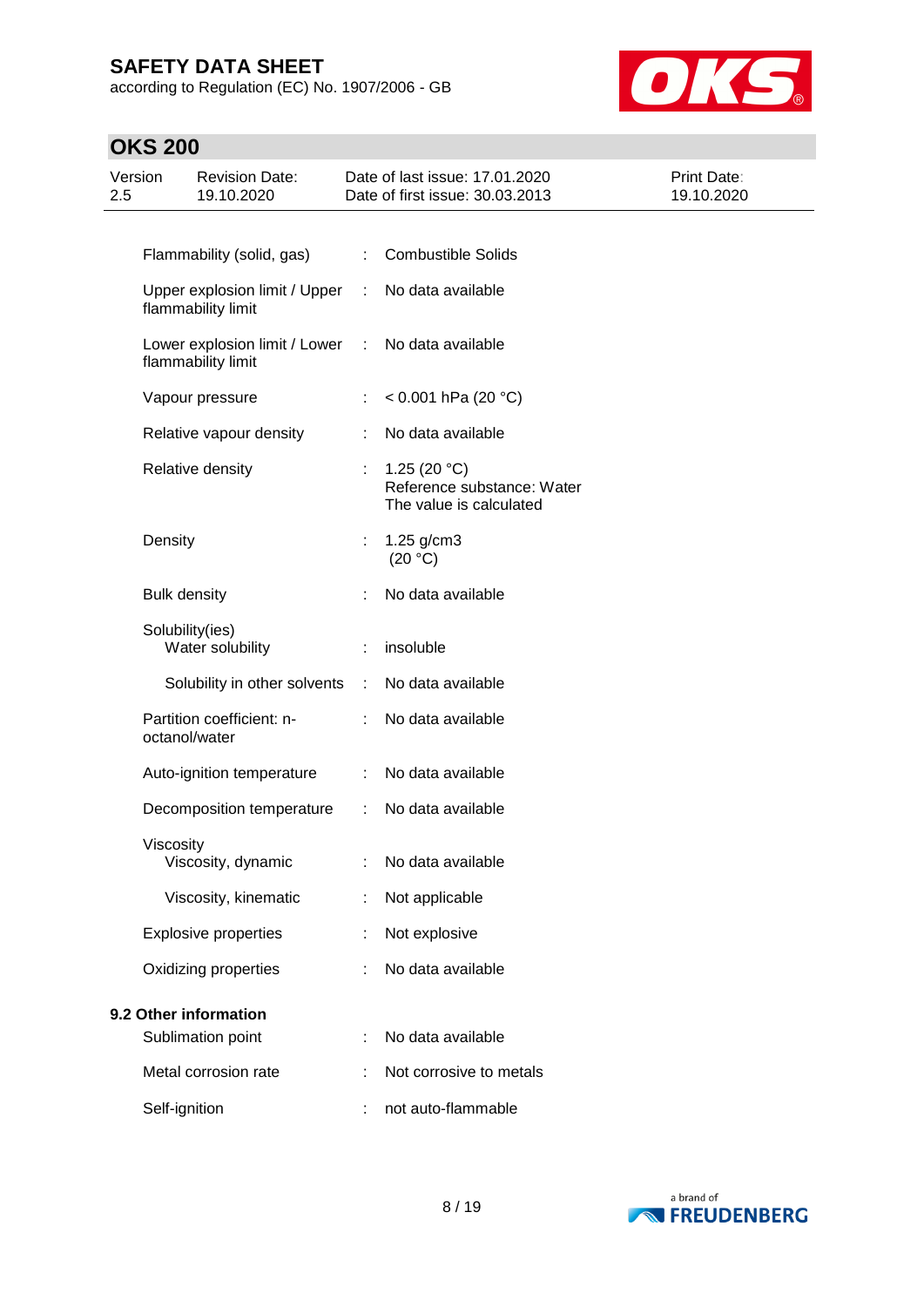according to Regulation (EC) No. 1907/2006 - GB



# **OKS 200**

| Version<br>2.5 | <b>Revision Date:</b><br>19.10.2020                 |                               | Date of last issue: 17.01.2020<br>Date of first issue: 30.03.2013       | Print Date:<br>19.10.2020 |
|----------------|-----------------------------------------------------|-------------------------------|-------------------------------------------------------------------------|---------------------------|
|                |                                                     |                               |                                                                         |                           |
|                | Flammability (solid, gas)                           | ÷                             | <b>Combustible Solids</b>                                               |                           |
|                | Upper explosion limit / Upper<br>flammability limit | ÷                             | No data available                                                       |                           |
|                | Lower explosion limit / Lower<br>flammability limit | $\mathcal{I}^{\mathcal{I}}$ . | No data available                                                       |                           |
|                | Vapour pressure                                     |                               | < 0.001 hPa (20 $^{\circ}$ C)                                           |                           |
|                | Relative vapour density                             |                               | No data available                                                       |                           |
|                | Relative density                                    | ÷.                            | 1.25 $(20 °C)$<br>Reference substance: Water<br>The value is calculated |                           |
|                | Density                                             | $\mathbb{Z}^n$                | 1.25 g/cm3<br>(20 °C)                                                   |                           |
|                | <b>Bulk density</b>                                 |                               | No data available                                                       |                           |
|                | Solubility(ies)<br>Water solubility                 |                               | insoluble                                                               |                           |
|                | Solubility in other solvents                        | ÷                             | No data available                                                       |                           |
|                | Partition coefficient: n-<br>octanol/water          |                               | No data available                                                       |                           |
|                | Auto-ignition temperature                           | ÷                             | No data available                                                       |                           |
|                | Decomposition temperature                           | $\mathbb{C}^{\times}$         | No data available                                                       |                           |
|                | Viscosity<br>Viscosity, dynamic                     |                               | : No data available                                                     |                           |
|                | Viscosity, kinematic                                |                               | Not applicable                                                          |                           |
|                | <b>Explosive properties</b>                         |                               | Not explosive                                                           |                           |
|                | Oxidizing properties                                |                               | No data available                                                       |                           |
|                | 9.2 Other information                               |                               |                                                                         |                           |
|                | Sublimation point                                   | ÷                             | No data available                                                       |                           |
|                | Metal corrosion rate                                |                               | Not corrosive to metals                                                 |                           |
|                | Self-ignition                                       |                               | not auto-flammable                                                      |                           |

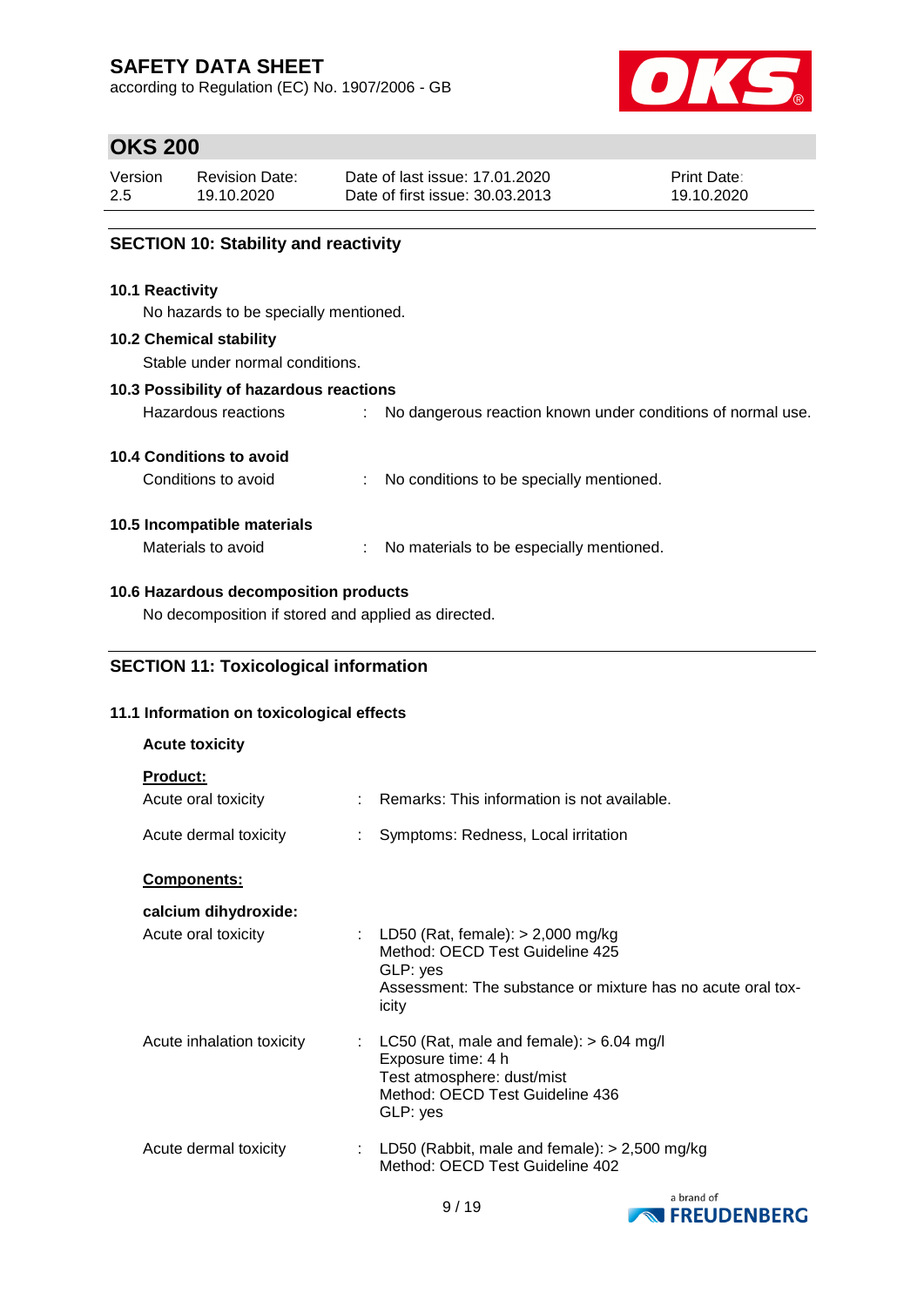according to Regulation (EC) No. 1907/2006 - GB



## **OKS 200**

| Version | <b>Revision Date:</b> | Date of last issue: 17.01.2020  | <b>Print Date:</b> |
|---------|-----------------------|---------------------------------|--------------------|
| 2.5     | 19.10.2020            | Date of first issue: 30.03.2013 | 19.10.2020         |
|         |                       |                                 |                    |

### **SECTION 10: Stability and reactivity**

#### **10.1 Reactivity**

No hazards to be specially mentioned.

#### **10.2 Chemical stability**

Stable under normal conditions.

#### **10.3 Possibility of hazardous reactions**

| Hazardous reactions |  |  |  |  |  | No dangerous reaction known under conditions of normal use. |  |  |
|---------------------|--|--|--|--|--|-------------------------------------------------------------|--|--|
|---------------------|--|--|--|--|--|-------------------------------------------------------------|--|--|

#### **10.4 Conditions to avoid**

Conditions to avoid : No conditions to be specially mentioned.

#### **10.5 Incompatible materials**

Materials to avoid : No materials to be especially mentioned.

#### **10.6 Hazardous decomposition products**

No decomposition if stored and applied as directed.

### **SECTION 11: Toxicological information**

#### **11.1 Information on toxicological effects**

| <b>Acute toxicity</b>                  |    |                                                                                                                                                              |
|----------------------------------------|----|--------------------------------------------------------------------------------------------------------------------------------------------------------------|
| <b>Product:</b><br>Acute oral toxicity |    | $\therefore$ Remarks: This information is not available.                                                                                                     |
| Acute dermal toxicity                  |    | Symptoms: Redness, Local irritation                                                                                                                          |
| Components:                            |    |                                                                                                                                                              |
| calcium dihydroxide:                   |    |                                                                                                                                                              |
| Acute oral toxicity                    |    | : LD50 (Rat, female): $> 2,000$ mg/kg<br>Method: OECD Test Guideline 425<br>GLP: yes<br>Assessment: The substance or mixture has no acute oral tox-<br>icity |
| Acute inhalation toxicity              | t. | LC50 (Rat, male and female): $> 6.04$ mg/l<br>Exposure time: 4 h<br>Test atmosphere: dust/mist<br>Method: OECD Test Guideline 436<br>GLP: yes                |
| Acute dermal toxicity                  |    | : LD50 (Rabbit, male and female): $> 2,500$ mg/kg<br>Method: OECD Test Guideline 402                                                                         |

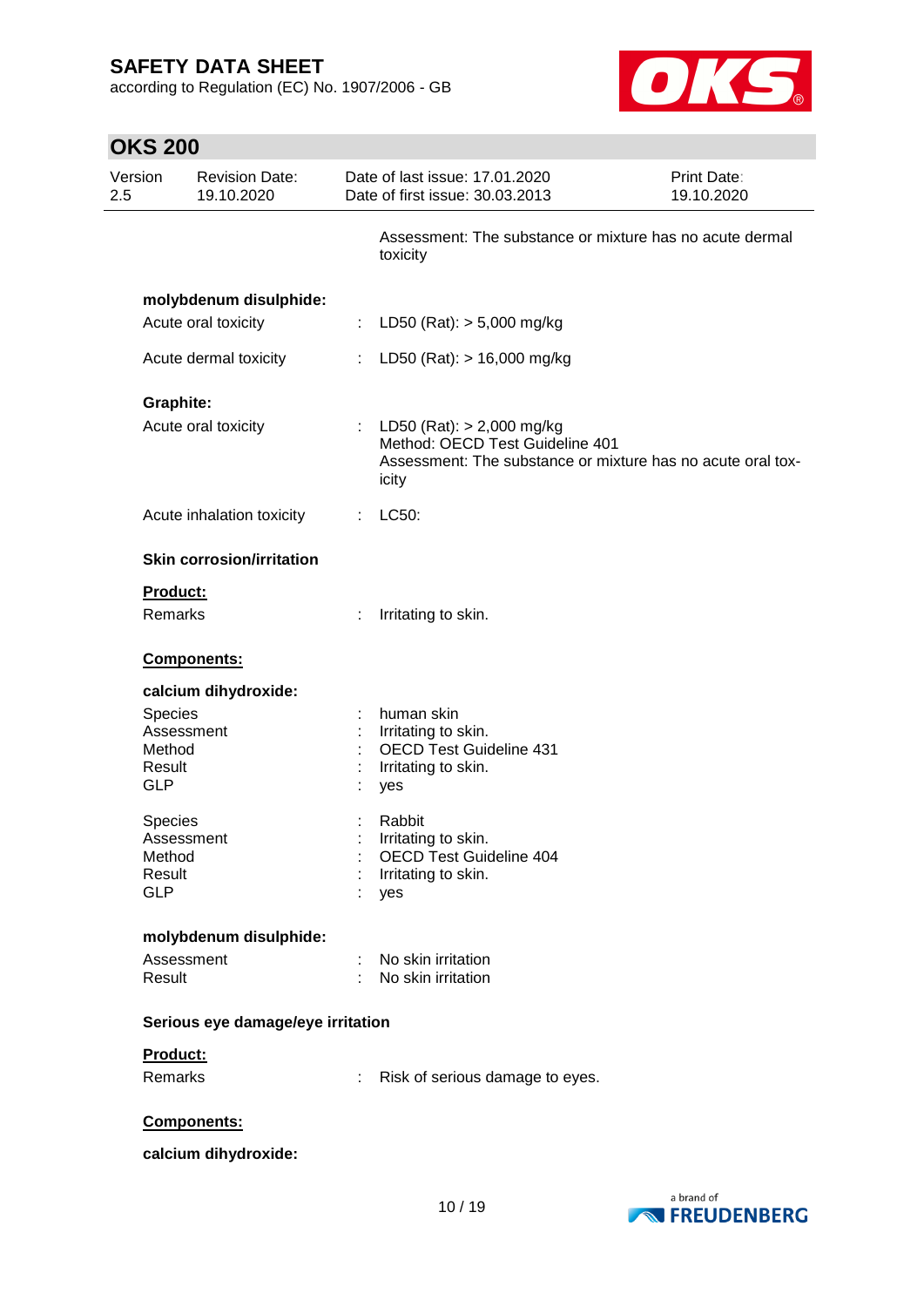according to Regulation (EC) No. 1907/2006 - GB



| <b>OKS 200</b>   |                                     |                                                                                                                                          |
|------------------|-------------------------------------|------------------------------------------------------------------------------------------------------------------------------------------|
| Version<br>2.5   | <b>Revision Date:</b><br>19.10.2020 | Date of last issue: 17.01.2020<br><b>Print Date:</b><br>Date of first issue: 30.03.2013<br>19.10.2020                                    |
|                  |                                     | Assessment: The substance or mixture has no acute dermal<br>toxicity                                                                     |
|                  | molybdenum disulphide:              |                                                                                                                                          |
|                  | Acute oral toxicity                 | LD50 (Rat): $> 5,000$ mg/kg<br>÷                                                                                                         |
|                  | Acute dermal toxicity               | LD50 (Rat): $> 16,000$ mg/kg<br>t.                                                                                                       |
| <b>Graphite:</b> |                                     |                                                                                                                                          |
|                  | Acute oral toxicity                 | : LD50 (Rat): $> 2,000$ mg/kg<br>Method: OECD Test Guideline 401<br>Assessment: The substance or mixture has no acute oral tox-<br>icity |
|                  | Acute inhalation toxicity           | LC50:<br>÷.                                                                                                                              |
|                  | <b>Skin corrosion/irritation</b>    |                                                                                                                                          |
| Product:         |                                     |                                                                                                                                          |
| Remarks          |                                     | Irritating to skin.<br>t.                                                                                                                |
|                  | Components:                         |                                                                                                                                          |
|                  | calcium dihydroxide:                |                                                                                                                                          |
| <b>Species</b>   |                                     | human skin<br>t                                                                                                                          |
|                  | Assessment                          | Irritating to skin.                                                                                                                      |
| Method           |                                     | <b>OECD Test Guideline 431</b>                                                                                                           |
| Result           |                                     | Irritating to skin.                                                                                                                      |
| <b>GLP</b>       |                                     | yes                                                                                                                                      |
| Species          |                                     | Rabbit                                                                                                                                   |
|                  | Assessment                          | Irritating to skin.                                                                                                                      |
| Method           |                                     | <b>OECD Test Guideline 404</b>                                                                                                           |
| Result           |                                     | Irritating to skin.                                                                                                                      |
| <b>GLP</b>       |                                     | yes                                                                                                                                      |
|                  | molybdenum disulphide:              |                                                                                                                                          |
|                  | Assessment                          | No skin irritation                                                                                                                       |
| Result           |                                     | No skin irritation                                                                                                                       |
|                  | Serious eye damage/eye irritation   |                                                                                                                                          |
| Product:         |                                     |                                                                                                                                          |
| Remarks          |                                     | Risk of serious damage to eyes.<br>÷                                                                                                     |
|                  | Components:                         |                                                                                                                                          |
|                  | calcium dihydroxide:                |                                                                                                                                          |

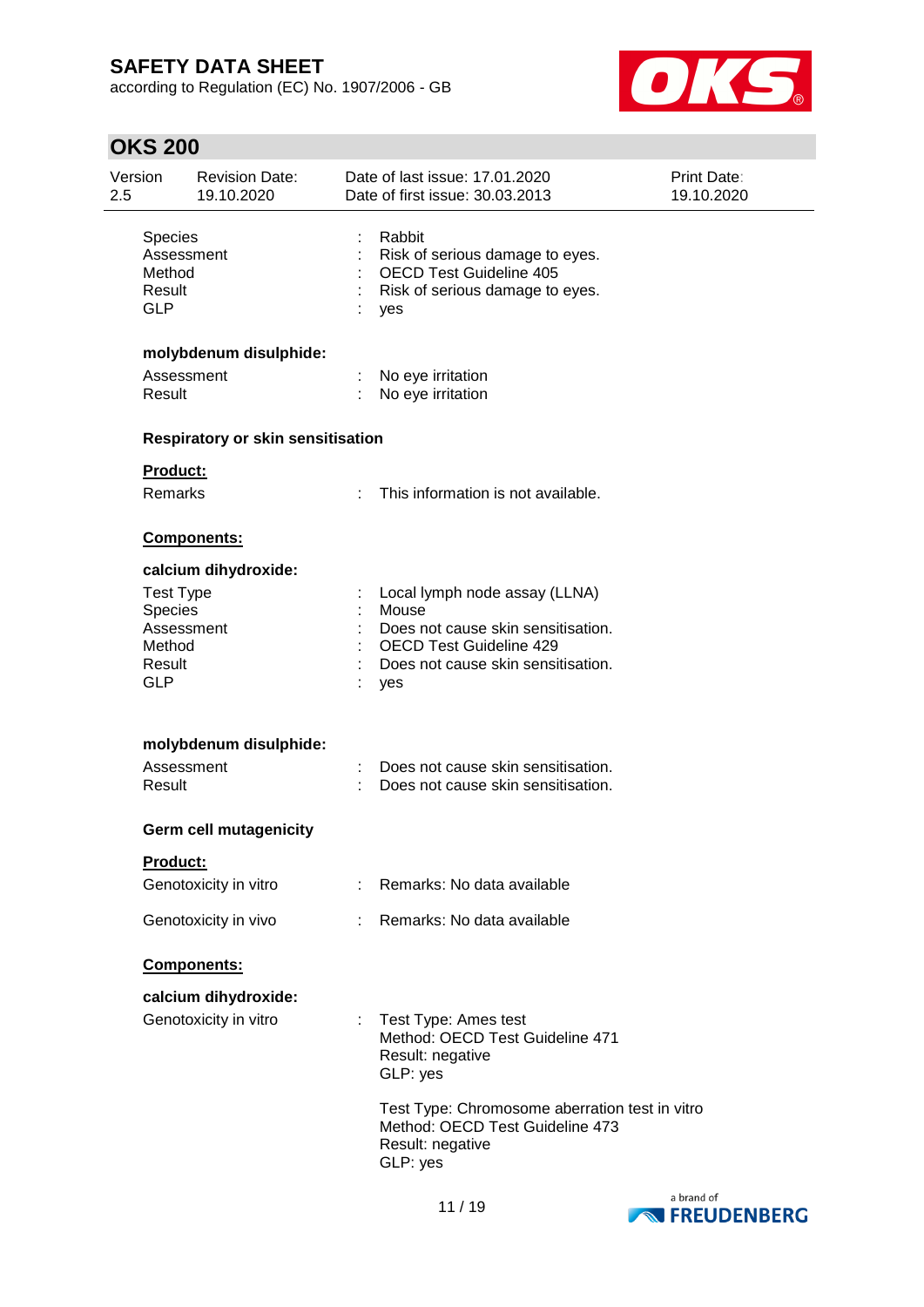according to Regulation (EC) No. 1907/2006 - GB



# **OKS 200**

| Version<br>2.5                            | <b>Revision Date:</b><br>19.10.2020      |                           | Date of last issue: 17.01.2020<br>Date of first issue: 30.03.2013                                                     | Print Date:<br>19.10.2020 |
|-------------------------------------------|------------------------------------------|---------------------------|-----------------------------------------------------------------------------------------------------------------------|---------------------------|
| Species<br>Method<br>Result<br><b>GLP</b> | Assessment                               |                           | Rabbit<br>Risk of serious damage to eyes.<br><b>OECD Test Guideline 405</b><br>Risk of serious damage to eyes.<br>yes |                           |
|                                           | molybdenum disulphide:                   |                           |                                                                                                                       |                           |
| Result                                    | Assessment                               |                           | No eye irritation<br>No eye irritation                                                                                |                           |
|                                           | <b>Respiratory or skin sensitisation</b> |                           |                                                                                                                       |                           |
| Product:                                  |                                          |                           |                                                                                                                       |                           |
| Remarks                                   |                                          | ÷                         | This information is not available.                                                                                    |                           |
|                                           | Components:                              |                           |                                                                                                                       |                           |
|                                           | calcium dihydroxide:                     |                           |                                                                                                                       |                           |
| <b>Test Type</b>                          |                                          |                           | Local lymph node assay (LLNA)                                                                                         |                           |
| Species                                   |                                          |                           | Mouse                                                                                                                 |                           |
|                                           | Assessment                               |                           | Does not cause skin sensitisation.                                                                                    |                           |
| Method                                    |                                          |                           | <b>OECD Test Guideline 429</b>                                                                                        |                           |
| Result<br>GLP                             |                                          |                           | Does not cause skin sensitisation.<br>yes                                                                             |                           |
|                                           | molybdenum disulphide:                   |                           |                                                                                                                       |                           |
|                                           | Assessment                               |                           | Does not cause skin sensitisation.                                                                                    |                           |
| Result                                    |                                          |                           | Does not cause skin sensitisation.                                                                                    |                           |
|                                           | <b>Germ cell mutagenicity</b>            |                           |                                                                                                                       |                           |
| Product:                                  |                                          |                           |                                                                                                                       |                           |
|                                           | Genotoxicity in vitro                    | $\mathbb{R}^{\mathbb{Z}}$ | Remarks: No data available                                                                                            |                           |
|                                           | Genotoxicity in vivo                     | t.                        | Remarks: No data available                                                                                            |                           |
|                                           | Components:                              |                           |                                                                                                                       |                           |
|                                           | calcium dihydroxide:                     |                           |                                                                                                                       |                           |
|                                           | Genotoxicity in vitro                    |                           | Test Type: Ames test<br>Method: OECD Test Guideline 471<br>Result: negative<br>GLP: yes                               |                           |
|                                           |                                          |                           | Test Type: Chromosome aberration test in vitro<br>Method: OECD Test Guideline 473<br>Result: negative<br>GLP: yes     |                           |

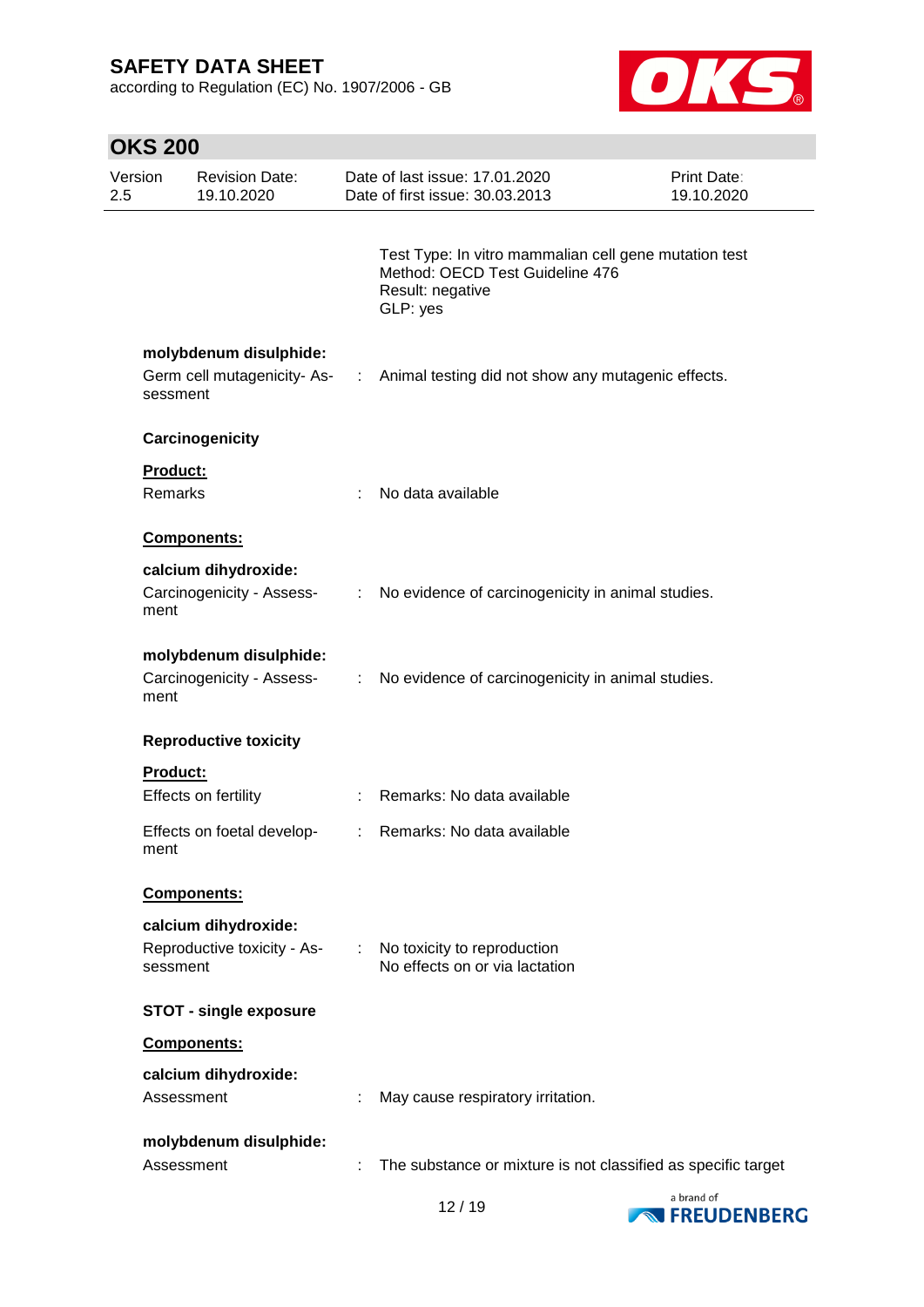according to Regulation (EC) No. 1907/2006 - GB



# **OKS 200**

| Version<br>2.5 |                     | <b>Revision Date:</b><br>19.10.2020                 |               | Date of last issue: 17.01.2020<br>Date of first issue: 30.03.2013                                                        | Print Date:<br>19.10.2020 |
|----------------|---------------------|-----------------------------------------------------|---------------|--------------------------------------------------------------------------------------------------------------------------|---------------------------|
|                |                     |                                                     |               | Test Type: In vitro mammalian cell gene mutation test<br>Method: OECD Test Guideline 476<br>Result: negative<br>GLP: yes |                           |
|                | sessment            | molybdenum disulphide:                              |               | Germ cell mutagenicity-As- : Animal testing did not show any mutagenic effects.                                          |                           |
|                |                     | Carcinogenicity                                     |               |                                                                                                                          |                           |
|                | Product:<br>Remarks |                                                     |               | No data available                                                                                                        |                           |
|                |                     | Components:                                         |               |                                                                                                                          |                           |
|                | ment                | calcium dihydroxide:<br>Carcinogenicity - Assess-   |               | : No evidence of carcinogenicity in animal studies.                                                                      |                           |
|                | ment                | molybdenum disulphide:<br>Carcinogenicity - Assess- | ÷.            | No evidence of carcinogenicity in animal studies.                                                                        |                           |
|                |                     | <b>Reproductive toxicity</b>                        |               |                                                                                                                          |                           |
|                | <b>Product:</b>     | Effects on fertility                                |               | Remarks: No data available                                                                                               |                           |
|                | ment                | Effects on foetal develop-                          | $\mathcal{L}$ | Remarks: No data available                                                                                               |                           |
|                |                     | Components:                                         |               |                                                                                                                          |                           |
|                | sessment            | calcium dihydroxide:<br>Reproductive toxicity - As- |               | No toxicity to reproduction<br>No effects on or via lactation                                                            |                           |
|                |                     | <b>STOT - single exposure</b>                       |               |                                                                                                                          |                           |
|                |                     | Components:                                         |               |                                                                                                                          |                           |
|                | Assessment          | calcium dihydroxide:                                |               | May cause respiratory irritation.                                                                                        |                           |
|                | Assessment          | molybdenum disulphide:                              |               | The substance or mixture is not classified as specific target                                                            |                           |

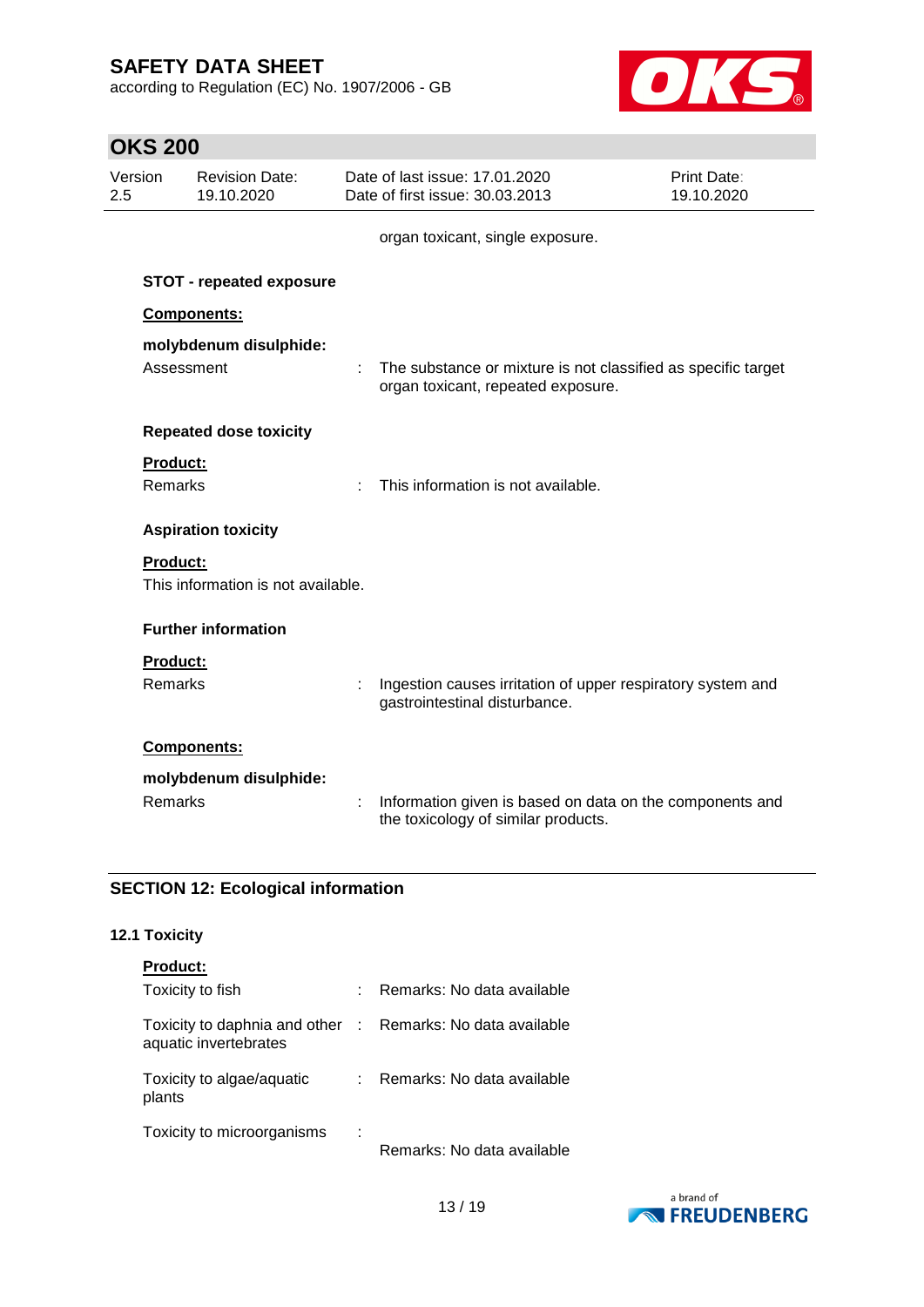according to Regulation (EC) No. 1907/2006 - GB



|                | <b>OKS 200</b>  |                                     |   |                                                                                                     |                           |
|----------------|-----------------|-------------------------------------|---|-----------------------------------------------------------------------------------------------------|---------------------------|
| Version<br>2.5 |                 | <b>Revision Date:</b><br>19.10.2020 |   | Date of last issue: 17.01.2020<br>Date of first issue: 30.03.2013                                   | Print Date:<br>19.10.2020 |
|                |                 |                                     |   | organ toxicant, single exposure.                                                                    |                           |
|                |                 | <b>STOT - repeated exposure</b>     |   |                                                                                                     |                           |
|                |                 | Components:                         |   |                                                                                                     |                           |
|                | Assessment      | molybdenum disulphide:              |   | The substance or mixture is not classified as specific target<br>organ toxicant, repeated exposure. |                           |
|                |                 | <b>Repeated dose toxicity</b>       |   |                                                                                                     |                           |
|                | Product:        |                                     |   |                                                                                                     |                           |
|                | <b>Remarks</b>  |                                     |   | This information is not available.                                                                  |                           |
|                |                 | <b>Aspiration toxicity</b>          |   |                                                                                                     |                           |
|                | <b>Product:</b> |                                     |   |                                                                                                     |                           |
|                |                 | This information is not available.  |   |                                                                                                     |                           |
|                |                 | <b>Further information</b>          |   |                                                                                                     |                           |
|                | <b>Product:</b> |                                     |   |                                                                                                     |                           |
|                | <b>Remarks</b>  |                                     |   | Ingestion causes irritation of upper respiratory system and<br>gastrointestinal disturbance.        |                           |
|                |                 | <b>Components:</b>                  |   |                                                                                                     |                           |
|                |                 | molybdenum disulphide:              |   |                                                                                                     |                           |
|                | <b>Remarks</b>  |                                     | t | Information given is based on data on the components and<br>the toxicology of similar products.     |                           |

### **SECTION 12: Ecological information**

### **12.1 Toxicity**

| <b>Product:</b>                                                                     |                            |
|-------------------------------------------------------------------------------------|----------------------------|
| Toxicity to fish                                                                    | Remarks: No data available |
| Toxicity to daphnia and other : Remarks: No data available<br>aquatic invertebrates |                            |
| Toxicity to algae/aquatic<br>plants                                                 | Remarks: No data available |
| Toxicity to microorganisms                                                          | Remarks: No data available |

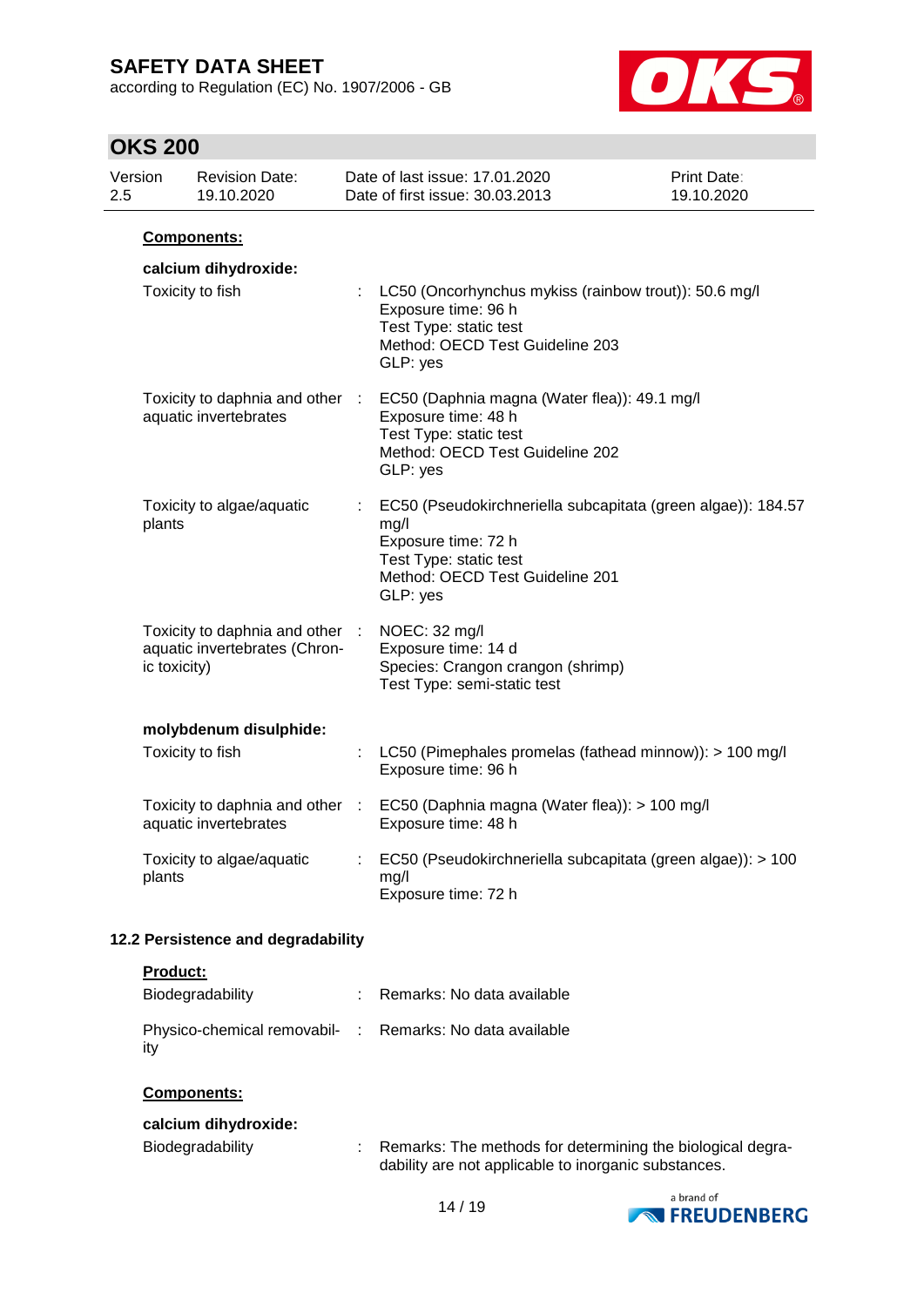according to Regulation (EC) No. 1907/2006 - GB



# **OKS 200**

|                                    | no po        |                                                                  |    |                                                                                                                                                                      |                           |
|------------------------------------|--------------|------------------------------------------------------------------|----|----------------------------------------------------------------------------------------------------------------------------------------------------------------------|---------------------------|
| 2.5                                | Version      | <b>Revision Date:</b><br>19.10.2020                              |    | Date of last issue: 17.01.2020<br>Date of first issue: 30.03.2013                                                                                                    | Print Date:<br>19.10.2020 |
|                                    |              | Components:                                                      |    |                                                                                                                                                                      |                           |
|                                    |              | calcium dihydroxide:                                             |    |                                                                                                                                                                      |                           |
|                                    |              | Toxicity to fish                                                 |    | : LC50 (Oncorhynchus mykiss (rainbow trout)): 50.6 mg/l<br>Exposure time: 96 h<br>Test Type: static test<br>Method: OECD Test Guideline 203<br>GLP: yes              |                           |
|                                    |              | Toxicity to daphnia and other :<br>aquatic invertebrates         |    | EC50 (Daphnia magna (Water flea)): 49.1 mg/l<br>Exposure time: 48 h<br>Test Type: static test<br>Method: OECD Test Guideline 202<br>GLP: yes                         |                           |
|                                    | plants       | Toxicity to algae/aquatic                                        |    | EC50 (Pseudokirchneriella subcapitata (green algae)): 184.57<br>mg/l<br>Exposure time: 72 h<br>Test Type: static test<br>Method: OECD Test Guideline 201<br>GLP: yes |                           |
|                                    | ic toxicity) | Toxicity to daphnia and other :<br>aquatic invertebrates (Chron- |    | NOEC: 32 mg/l<br>Exposure time: 14 d<br>Species: Crangon crangon (shrimp)<br>Test Type: semi-static test                                                             |                           |
|                                    |              | molybdenum disulphide:                                           |    |                                                                                                                                                                      |                           |
|                                    |              | Toxicity to fish                                                 |    | LC50 (Pimephales promelas (fathead minnow)): > 100 mg/l<br>Exposure time: 96 h                                                                                       |                           |
|                                    |              | aquatic invertebrates                                            |    | Toxicity to daphnia and other : EC50 (Daphnia magna (Water flea)): > 100 mg/l<br>Exposure time: 48 h                                                                 |                           |
|                                    | plants       | Toxicity to algae/aquatic                                        |    | EC50 (Pseudokirchneriella subcapitata (green algae)): > 100<br>mg/l<br>Exposure time: 72 h                                                                           |                           |
| 12.2 Persistence and degradability |              |                                                                  |    |                                                                                                                                                                      |                           |
|                                    | Product:     |                                                                  |    |                                                                                                                                                                      |                           |
|                                    |              | Biodegradability                                                 |    | Remarks: No data available                                                                                                                                           |                           |
|                                    | ity          | Physico-chemical removabil-                                      | ÷. | Remarks: No data available                                                                                                                                           |                           |

### **Components:**

| calcium dihydroxide: |                                                                                                                      |
|----------------------|----------------------------------------------------------------------------------------------------------------------|
| Biodegradability     | : Remarks: The methods for determining the biological degra-<br>dability are not applicable to inorganic substances. |

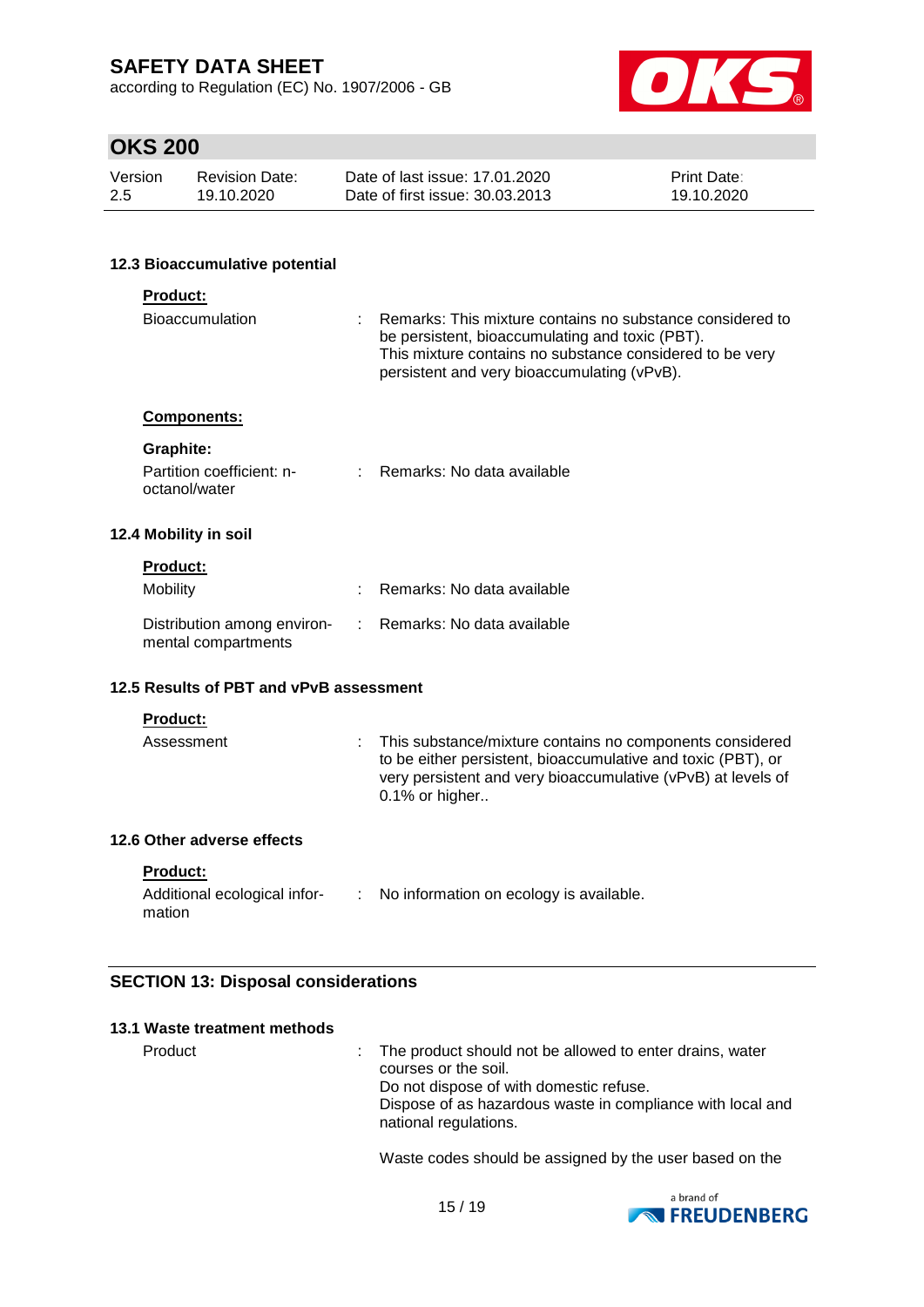according to Regulation (EC) No. 1907/2006 - GB



# **OKS 200**

| Version | Revision Date: | Date of last issue: 17,01,2020  | <b>Print Date:</b> |
|---------|----------------|---------------------------------|--------------------|
| -2.5    | 19.10.2020     | Date of first issue: 30.03.2013 | 19.10.2020         |

#### **12.3 Bioaccumulative potential**

### **Product:**

| <b>Bioaccumulation</b>                                                          |  | $\therefore$ Remarks: This mixture contains no substance considered to<br>be persistent, bioaccumulating and toxic (PBT).<br>This mixture contains no substance considered to be very<br>persistent and very bioaccumulating (vPvB). |  |
|---------------------------------------------------------------------------------|--|--------------------------------------------------------------------------------------------------------------------------------------------------------------------------------------------------------------------------------------|--|
| <b>Components:</b>                                                              |  |                                                                                                                                                                                                                                      |  |
| Graphite:                                                                       |  |                                                                                                                                                                                                                                      |  |
| Partition coefficient: n-<br>octanol/water                                      |  | : Remarks: No data available                                                                                                                                                                                                         |  |
| 12.4 Mobility in soil                                                           |  |                                                                                                                                                                                                                                      |  |
| <b>Product:</b>                                                                 |  |                                                                                                                                                                                                                                      |  |
| Mobility                                                                        |  | $\therefore$ Remarks: No data available                                                                                                                                                                                              |  |
| Distribution among environ- : Remarks: No data available<br>mental compartments |  |                                                                                                                                                                                                                                      |  |
| 12.5 Results of PBT and vPvB assessment                                         |  |                                                                                                                                                                                                                                      |  |

### **Product:**

| Assessment | : This substance/mixture contains no components considered<br>to be either persistent, bioaccumulative and toxic (PBT), or<br>very persistent and very bioaccumulative (vPvB) at levels of<br>$0.1\%$ or higher |
|------------|-----------------------------------------------------------------------------------------------------------------------------------------------------------------------------------------------------------------|
|            |                                                                                                                                                                                                                 |

#### **12.6 Other adverse effects**

#### **Product:**

| Additional ecological infor- | No information on ecology is available. |
|------------------------------|-----------------------------------------|
| mation                       |                                         |

### **SECTION 13: Disposal considerations**

| 13.1 Waste treatment methods |                                                                                                                                                                                                                      |
|------------------------------|----------------------------------------------------------------------------------------------------------------------------------------------------------------------------------------------------------------------|
| Product                      | : The product should not be allowed to enter drains, water<br>courses or the soil.<br>Do not dispose of with domestic refuse.<br>Dispose of as hazardous waste in compliance with local and<br>national regulations. |

Waste codes should be assigned by the user based on the

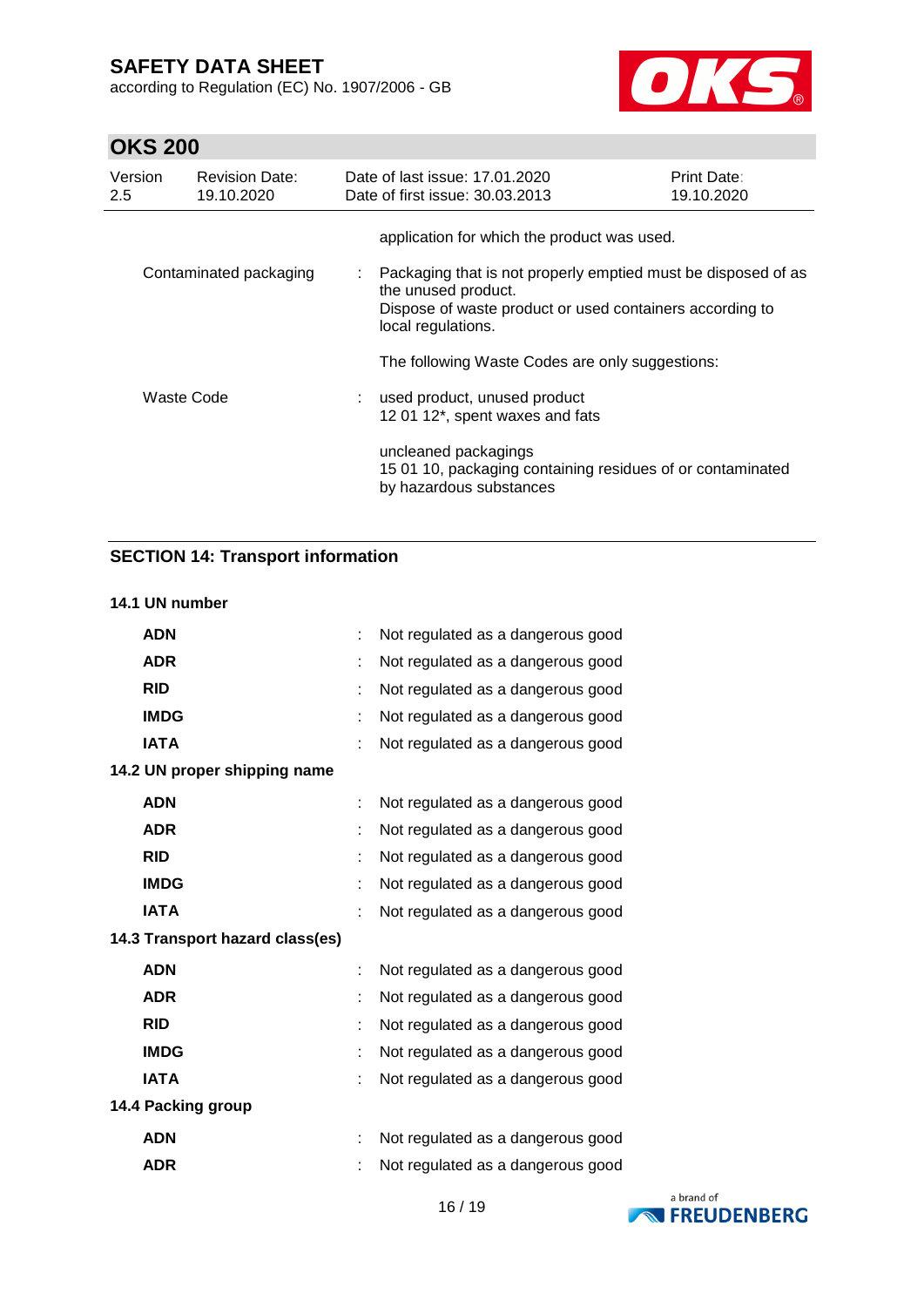according to Regulation (EC) No. 1907/2006 - GB



# **OKS 200**

| Version<br>$2.5^{\circ}$ | <b>Revision Date:</b><br>19.10.2020 | Date of last issue: 17.01.2020<br>Date of first issue: 30.03.2013                                     | <b>Print Date:</b><br>19.10.2020                              |
|--------------------------|-------------------------------------|-------------------------------------------------------------------------------------------------------|---------------------------------------------------------------|
|                          |                                     | application for which the product was used.                                                           |                                                               |
|                          | Contaminated packaging              | the unused product.<br>Dispose of waste product or used containers according to<br>local regulations. | Packaging that is not properly emptied must be disposed of as |
|                          |                                     | The following Waste Codes are only suggestions:                                                       |                                                               |
|                          | Waste Code                          | : used product, unused product<br>12 01 12*, spent waxes and fats                                     |                                                               |
|                          |                                     | uncleaned packagings<br>by hazardous substances                                                       | 15 01 10, packaging containing residues of or contaminated    |

# **SECTION 14: Transport information**

#### **14.1 UN number**

| ÷  | Not regulated as a dangerous good |
|----|-----------------------------------|
| ÷  | Not regulated as a dangerous good |
|    | Not regulated as a dangerous good |
| t  | Not regulated as a dangerous good |
| t  | Not regulated as a dangerous good |
|    |                                   |
| ÷  | Not regulated as a dangerous good |
|    | Not regulated as a dangerous good |
| t  | Not regulated as a dangerous good |
|    | Not regulated as a dangerous good |
|    | Not regulated as a dangerous good |
|    |                                   |
|    | Not regulated as a dangerous good |
| t. | Not regulated as a dangerous good |
|    | Not regulated as a dangerous good |
|    | Not regulated as a dangerous good |
| ÷  | Not regulated as a dangerous good |
|    |                                   |
| t  | Not regulated as a dangerous good |
|    | Not regulated as a dangerous good |
|    |                                   |

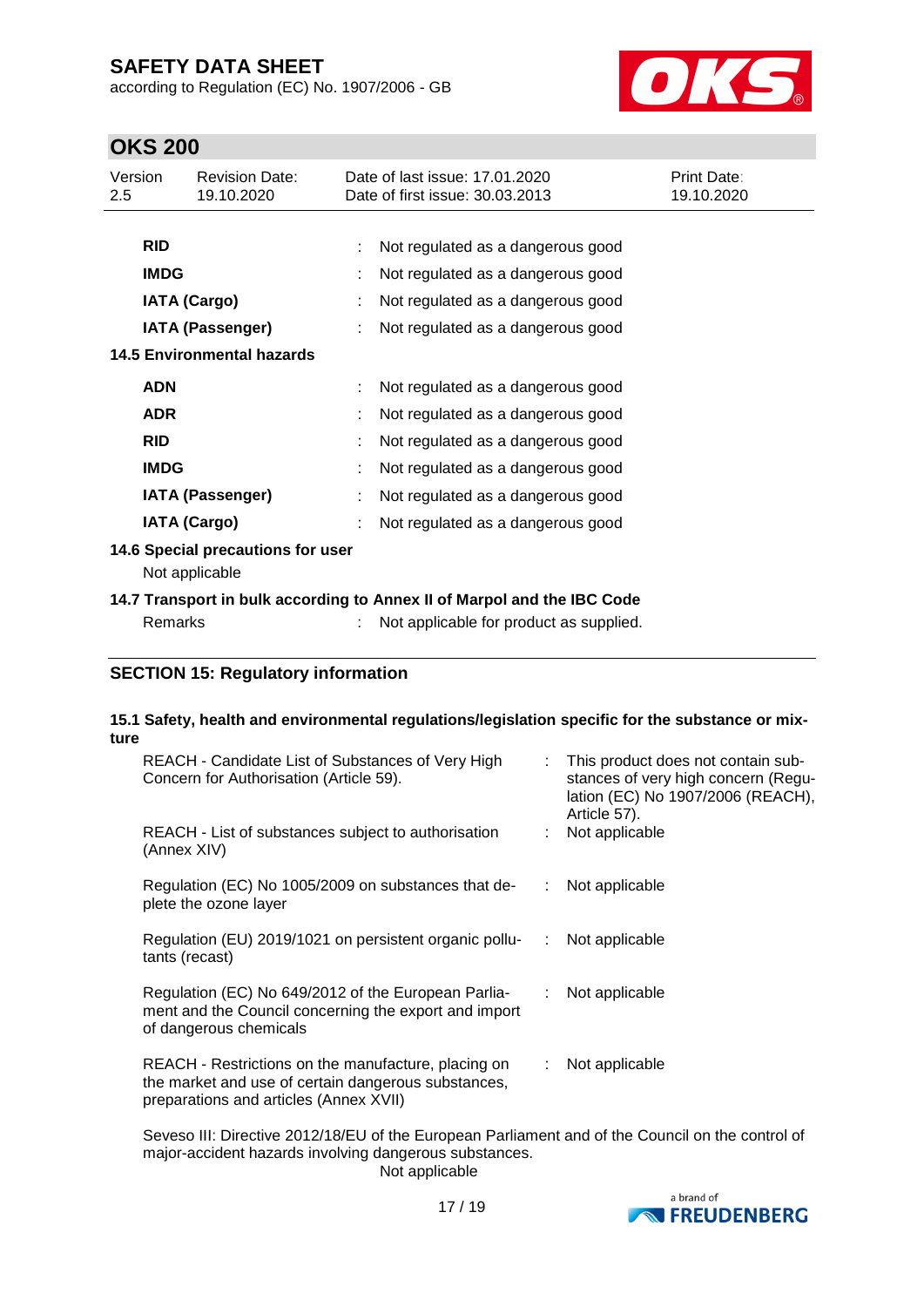according to Regulation (EC) No. 1907/2006 - GB



## **OKS 200**

| Version<br>$2.5\,$         | <b>Revision Date:</b><br>19.10.2020 |  | Date of last issue: 17.01.2020<br>Date of first issue: 30.03.2013       | Print Date:<br>19.10.2020 |  |  |
|----------------------------|-------------------------------------|--|-------------------------------------------------------------------------|---------------------------|--|--|
|                            |                                     |  |                                                                         |                           |  |  |
| <b>RID</b>                 |                                     |  | Not regulated as a dangerous good                                       |                           |  |  |
|                            | <b>IMDG</b>                         |  | Not regulated as a dangerous good                                       |                           |  |  |
|                            | <b>IATA (Cargo)</b>                 |  | Not regulated as a dangerous good                                       |                           |  |  |
|                            | <b>IATA (Passenger)</b>             |  | Not regulated as a dangerous good                                       |                           |  |  |
| 14.5 Environmental hazards |                                     |  |                                                                         |                           |  |  |
| <b>ADN</b>                 |                                     |  | Not regulated as a dangerous good                                       |                           |  |  |
| <b>ADR</b>                 |                                     |  | Not regulated as a dangerous good                                       |                           |  |  |
| <b>RID</b>                 |                                     |  | Not regulated as a dangerous good                                       |                           |  |  |
|                            | <b>IMDG</b>                         |  | Not regulated as a dangerous good                                       |                           |  |  |
|                            | <b>IATA (Passenger)</b>             |  | Not regulated as a dangerous good                                       |                           |  |  |
|                            | <b>IATA (Cargo)</b>                 |  | Not regulated as a dangerous good                                       |                           |  |  |
|                            | 14.6 Special precautions for user   |  |                                                                         |                           |  |  |
|                            | Not applicable                      |  |                                                                         |                           |  |  |
|                            |                                     |  | 14.7 Transport in bulk according to Annex II of Marpol and the IBC Code |                           |  |  |
|                            | Remarks                             |  | Not applicable for product as supplied.                                 |                           |  |  |

### **SECTION 15: Regulatory information**

## **15.1 Safety, health and environmental regulations/legislation specific for the substance or mixture**

| REACH - Candidate List of Substances of Very High<br>Concern for Authorisation (Article 59).                                                         |                           | : This product does not contain sub-<br>stances of very high concern (Regu-<br>lation (EC) No 1907/2006 (REACH),<br>Article 57). |
|------------------------------------------------------------------------------------------------------------------------------------------------------|---------------------------|----------------------------------------------------------------------------------------------------------------------------------|
| REACH - List of substances subject to authorisation<br>(Annex XIV)                                                                                   |                           | Not applicable                                                                                                                   |
| Regulation (EC) No 1005/2009 on substances that de-<br>plete the ozone layer                                                                         |                           | Not applicable                                                                                                                   |
| Regulation (EU) 2019/1021 on persistent organic pollu-<br>tants (recast)                                                                             | ÷                         | Not applicable                                                                                                                   |
| Regulation (EC) No 649/2012 of the European Parlia-<br>ment and the Council concerning the export and import<br>of dangerous chemicals               | ÷.                        | Not applicable                                                                                                                   |
| REACH - Restrictions on the manufacture, placing on<br>the market and use of certain dangerous substances,<br>preparations and articles (Annex XVII) | $\mathbb{Z}^{\mathbb{Z}}$ | Not applicable                                                                                                                   |

Seveso III: Directive 2012/18/EU of the European Parliament and of the Council on the control of major-accident hazards involving dangerous substances. Not applicable

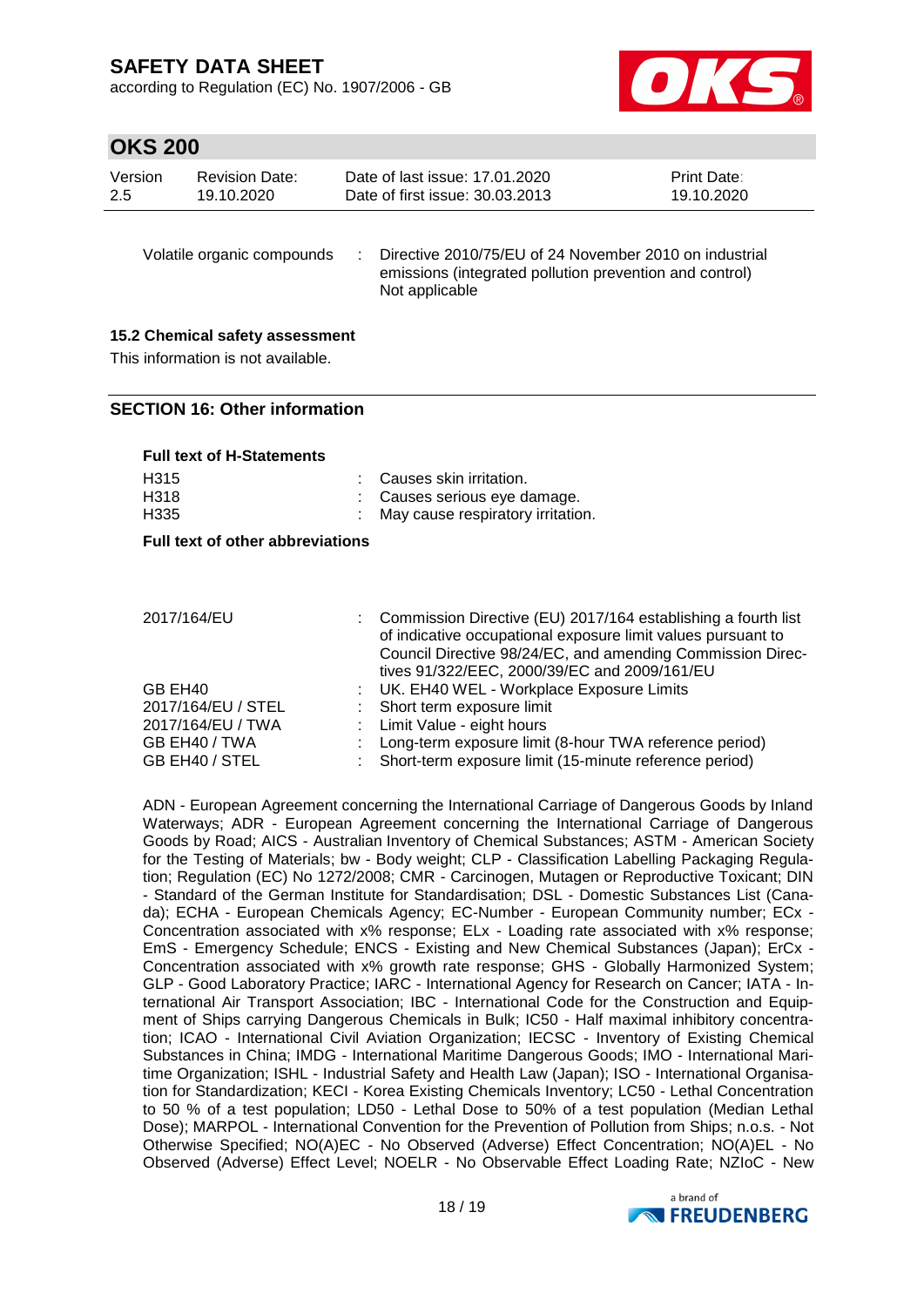according to Regulation (EC) No. 1907/2006 - GB



## **OKS 200**

| Version<br>2.5 | <b>Revision Date:</b><br>19.10.2020                                   | Date of last issue: 17.01.2020<br>Date of first issue: 30.03.2013                                                                   | <b>Print Date:</b><br>19.10.2020 |
|----------------|-----------------------------------------------------------------------|-------------------------------------------------------------------------------------------------------------------------------------|----------------------------------|
|                | Volatile organic compounds                                            | Directive 2010/75/EU of 24 November 2010 on industrial<br>emissions (integrated pollution prevention and control)<br>Not applicable |                                  |
|                | 15.2 Chemical safety assessment<br>This information is not available. |                                                                                                                                     |                                  |

#### **SECTION 16: Other information**

**Full text of H-Statements**

| : Causes skin irritation.           |
|-------------------------------------|
| : Causes serious eve damage.        |
| : May cause respiratory irritation. |
|                                     |

**Full text of other abbreviations**

|  | 2017/164/EU |
|--|-------------|
|--|-------------|

| GB EH40<br>2017/164/EU / STEL   | Council Directive 98/24/EC, and amending Commission Direc-<br>tives 91/322/EEC, 2000/39/EC and 2009/161/EU<br>: UK. EH40 WEL - Workplace Exposure Limits<br>: Short term exposure limit |
|---------------------------------|-----------------------------------------------------------------------------------------------------------------------------------------------------------------------------------------|
| 2017/164/EU / TWA               | : Limit Value - eight hours                                                                                                                                                             |
| GB EH40 / TWA<br>GB EH40 / STEL | : Long-term exposure limit (8-hour TWA reference period)<br>: Short-term exposure limit (15-minute reference period)                                                                    |

2017/164 establishing a fourth list: Commission Directive (EU) 2017/164 establishing a fourth list:

ADN - European Agreement concerning the International Carriage of Dangerous Goods by Inland Waterways; ADR - European Agreement concerning the International Carriage of Dangerous Goods by Road; AICS - Australian Inventory of Chemical Substances; ASTM - American Society for the Testing of Materials; bw - Body weight; CLP - Classification Labelling Packaging Regulation; Regulation (EC) No 1272/2008; CMR - Carcinogen, Mutagen or Reproductive Toxicant; DIN - Standard of the German Institute for Standardisation; DSL - Domestic Substances List (Canada); ECHA - European Chemicals Agency; EC-Number - European Community number; ECx - Concentration associated with x% response; ELx - Loading rate associated with x% response; EmS - Emergency Schedule; ENCS - Existing and New Chemical Substances (Japan); ErCx - Concentration associated with x% growth rate response; GHS - Globally Harmonized System; GLP - Good Laboratory Practice; IARC - International Agency for Research on Cancer; IATA - International Air Transport Association; IBC - International Code for the Construction and Equipment of Ships carrying Dangerous Chemicals in Bulk; IC50 - Half maximal inhibitory concentration; ICAO - International Civil Aviation Organization; IECSC - Inventory of Existing Chemical Substances in China; IMDG - International Maritime Dangerous Goods; IMO - International Maritime Organization; ISHL - Industrial Safety and Health Law (Japan); ISO - International Organisation for Standardization; KECI - Korea Existing Chemicals Inventory; LC50 - Lethal Concentration to 50 % of a test population; LD50 - Lethal Dose to 50% of a test population (Median Lethal Dose); MARPOL - International Convention for the Prevention of Pollution from Ships; n.o.s. - Not Otherwise Specified; NO(A)EC - No Observed (Adverse) Effect Concentration; NO(A)EL - No Observed (Adverse) Effect Level; NOELR - No Observable Effect Loading Rate; NZIoC - New